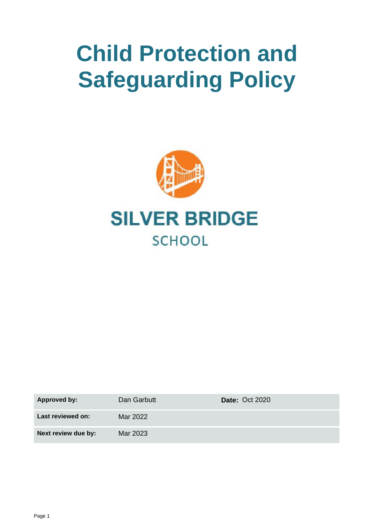# **Child Protection and Safeguarding Policy**



| <b>Approved by:</b> | Dan Garbutt | <b>Date: Oct 2020</b> |
|---------------------|-------------|-----------------------|
| Last reviewed on:   | Mar 2022    |                       |
| Next review due by: | Mar 2023    |                       |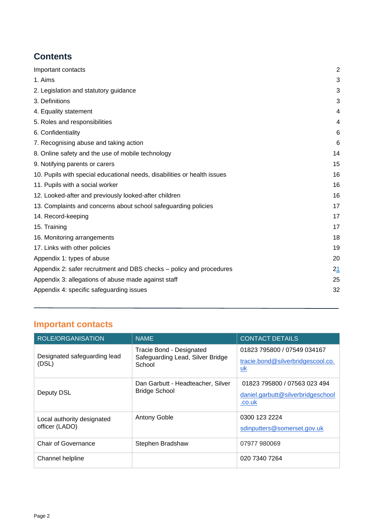# **Contents**

| Important contacts                                                       | $\overline{2}$ |
|--------------------------------------------------------------------------|----------------|
| 1. Aims                                                                  | 3              |
| 2. Legislation and statutory guidance                                    | 3              |
| 3. Definitions                                                           | 3              |
| 4. Equality statement                                                    | 4              |
| 5. Roles and responsibilities                                            | 4              |
| 6. Confidentiality                                                       | 6              |
| 7. Recognising abuse and taking action                                   | 6              |
| 8. Online safety and the use of mobile technology                        | 14             |
| 9. Notifying parents or carers                                           | 15             |
| 10. Pupils with special educational needs, disabilities or health issues | 16             |
| 11. Pupils with a social worker                                          | 16             |
| 12. Looked-after and previously looked-after children                    | 16             |
| 13. Complaints and concerns about school safeguarding policies           | 17             |
| 14. Record-keeping                                                       | 17             |
| 15. Training                                                             | 17             |
| 16. Monitoring arrangements                                              | 18             |
| 17. Links with other policies                                            | 19             |
| Appendix 1: types of abuse                                               | 20             |
| Appendix 2: safer recruitment and DBS checks - policy and procedures     | 21             |
| Appendix 3: allegations of abuse made against staff                      | 25             |
| Appendix 4: specific safeguarding issues                                 | 32             |
|                                                                          |                |

# **Important contacts**

| <b>ROLE/ORGANISATION</b>                     | NAME.                                                                  | <b>CONTACT DETAILS</b>                                                      |
|----------------------------------------------|------------------------------------------------------------------------|-----------------------------------------------------------------------------|
| Designated safeguarding lead<br>(DSL)        | Tracie Bond - Designated<br>Safeguarding Lead, Silver Bridge<br>School | 01823 795800 / 07549 034167<br>tracie.bond@silverbridgescool.co.<br>uk      |
| Deputy DSL                                   | Dan Garbutt - Headteacher, Silver<br><b>Bridge School</b>              | 01823 795800 / 07563 023 494<br>daniel.garbutt@silverbridgeschool<br>.co.uk |
| Local authority designated<br>officer (LADO) | <b>Antony Goble</b>                                                    | 0300 123 2224<br>sdinputters@somerset.gov.uk                                |
| <b>Chair of Governance</b>                   | Stephen Bradshaw                                                       | 07977 980069                                                                |
| Channel helpline                             |                                                                        | 020 7340 7264                                                               |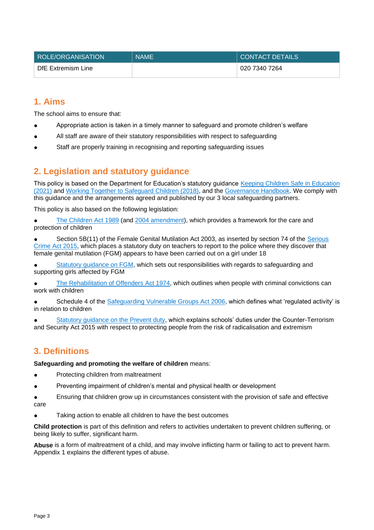| ROLE/ORGANISATION  | <b>NAME</b> | <b>CONTACT DETAILS</b> |
|--------------------|-------------|------------------------|
| DfE Extremism Line |             | 020 7340 7264          |

# <span id="page-2-0"></span>**1. Aims**

The school aims to ensure that:

- Appropriate action is taken in a timely manner to safeguard and promote children's welfare
- All staff are aware of their statutory responsibilities with respect to safeguarding
- Staff are properly training in recognising and reporting safeguarding issues

# <span id="page-2-1"></span>**2. Legislation and statutory guidance**

This policy is based on the Department for Education's statutory guidance [Keeping Children Safe in Education](https://www.gov.uk/government/publications/keeping-children-safe-in-education--2)  [\(2021\)](https://www.gov.uk/government/publications/keeping-children-safe-in-education--2) and [Working Together to Safeguard Children \(2018\),](https://www.gov.uk/government/publications/working-together-to-safeguard-children--2) and the [Governance Handbook.](https://www.gov.uk/government/publications/governance-handbook) We comply with this guidance and the arrangements agreed and published by our 3 local safeguarding partners.

This policy is also based on the following legislation:

[The Children Act 1989](http://www.legislation.gov.uk/ukpga/1989/41) (and [2004 amendment\)](http://www.legislation.gov.uk/ukpga/2004/31/contents), which provides a framework for the care and protection of children

Section 5B(11) of the Female Genital Mutilation Act 2003, as inserted by section 74 of the Serious [Crime Act 2015,](http://www.legislation.gov.uk/ukpga/2015/9/part/5/crossheading/female-genital-mutilation) which places a statutory duty on teachers to report to the police where they discover that female genital mutilation (FGM) appears to have been carried out on a girl under 18

[Statutory guidance on FGM,](https://www.gov.uk/government/publications/multi-agency-statutory-guidance-on-female-genital-mutilation) which sets out responsibilities with regards to safeguarding and supporting girls affected by FGM

[The Rehabilitation of Offenders Act 1974,](http://www.legislation.gov.uk/ukpga/1974/53) which outlines when people with criminal convictions can work with children

Schedule 4 of the [Safeguarding Vulnerable Groups Act 2006,](http://www.legislation.gov.uk/ukpga/2006/47/schedule/4) which defines what 'regulated activity' is in relation to children

[Statutory guidance on the Prevent duty,](https://www.gov.uk/government/publications/prevent-duty-guidance) which explains schools' duties under the Counter-Terrorism and Security Act 2015 with respect to protecting people from the risk of radicalisation and extremism

# <span id="page-2-2"></span>**3. Definitions**

**Safeguarding and promoting the welfare of children** means:

- Protecting children from maltreatment
- Preventing impairment of children's mental and physical health or development

Ensuring that children grow up in circumstances consistent with the provision of safe and effective care

● Taking action to enable all children to have the best outcomes

**Child protection** is part of this definition and refers to activities undertaken to prevent children suffering, or being likely to suffer, significant harm.

**Abuse** is a form of maltreatment of a child, and may involve inflicting harm or failing to act to prevent harm. Appendix 1 explains the different types of abuse.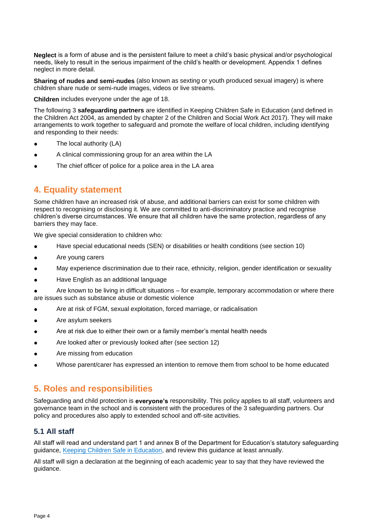**Neglect** is a form of abuse and is the persistent failure to meet a child's basic physical and/or psychological needs, likely to result in the serious impairment of the child's health or development. Appendix 1 defines neglect in more detail.

**Sharing of nudes and semi-nudes** (also known as sexting or youth produced sexual imagery) is where children share nude or semi-nude images, videos or live streams.

**Children** includes everyone under the age of 18.

The following 3 **safeguarding partners** are identified in Keeping Children Safe in Education (and defined in the Children Act 2004, as amended by chapter 2 of the Children and Social Work Act 2017). They will make arrangements to work together to safeguard and promote the welfare of local children, including identifying and responding to their needs:

- The local authority (LA)
- A clinical commissioning group for an area within the LA
- The chief officer of police for a police area in the LA area

# <span id="page-3-0"></span>**4. Equality statement**

Some children have an increased risk of abuse, and additional barriers can exist for some children with respect to recognising or disclosing it. We are committed to anti-discriminatory practice and recognise children's diverse circumstances. We ensure that all children have the same protection, regardless of any barriers they may face.

We give special consideration to children who:

- Have special educational needs (SEN) or disabilities or health conditions (see section 10)
- Are young carers
- May experience discrimination due to their race, ethnicity, religion, gender identification or sexuality
- Have English as an additional language

Are known to be living in difficult situations – for example, temporary accommodation or where there are issues such as substance abuse or domestic violence

- Are at risk of FGM, sexual exploitation, forced marriage, or radicalisation
- Are asylum seekers
- Are at risk due to either their own or a family member's mental health needs
- Are looked after or previously looked after (see section 12)
- Are missing from education
- <span id="page-3-1"></span>Whose parent/carer has expressed an intention to remove them from school to be home educated

# **5. Roles and responsibilities**

Safeguarding and child protection is **everyone's** responsibility. This policy applies to all staff, volunteers and governance team in the school and is consistent with the procedures of the 3 safeguarding partners. Our policy and procedures also apply to extended school and off-site activities.

# **5.1 All staff**

All staff will read and understand part 1 and annex B of the Department for Education's statutory safeguarding guidance, [Keeping Children Safe in Education,](https://www.gov.uk/government/publications/keeping-children-safe-in-education--2) and review this guidance at least annually.

All staff will sign a declaration at the beginning of each academic year to say that they have reviewed the guidance.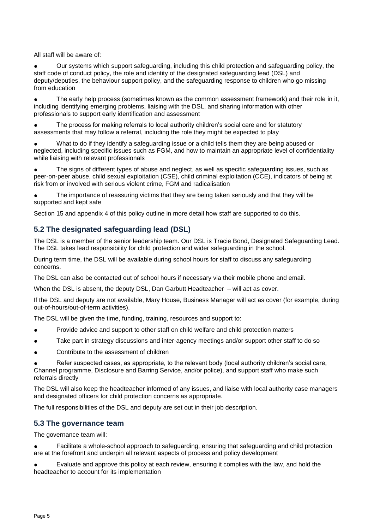All staff will be aware of:

Our systems which support safeguarding, including this child protection and safeguarding policy, the staff code of conduct policy, the role and identity of the designated safeguarding lead (DSL) and deputy/deputies, the behaviour support policy, and the safeguarding response to children who go missing from education

The early help process (sometimes known as the common assessment framework) and their role in it, including identifying emerging problems, liaising with the DSL, and sharing information with other professionals to support early identification and assessment

The process for making referrals to local authority children's social care and for statutory assessments that may follow a referral, including the role they might be expected to play

What to do if they identify a safeguarding issue or a child tells them they are being abused or neglected, including specific issues such as FGM, and how to maintain an appropriate level of confidentiality while liaising with relevant professionals

The signs of different types of abuse and neglect, as well as specific safeguarding issues, such as peer-on-peer abuse, child sexual exploitation (CSE), child criminal exploitation (CCE), indicators of being at risk from or involved with serious violent crime, FGM and radicalisation

The importance of reassuring victims that they are being taken seriously and that they will be supported and kept safe

Section 15 and appendix 4 of this policy outline in more detail how staff are supported to do this.

# **5.2 The designated safeguarding lead (DSL)**

The DSL is a member of the senior leadership team. Our DSL is Tracie Bond, Designated Safeguarding Lead. The DSL takes lead responsibility for child protection and wider safeguarding in the school.

During term time, the DSL will be available during school hours for staff to discuss any safeguarding concerns.

The DSL can also be contacted out of school hours if necessary via their mobile phone and email.

When the DSL is absent, the deputy DSL, Dan Garbutt Headteacher – will act as cover.

If the DSL and deputy are not available, Mary House, Business Manager will act as cover (for example, during out-of-hours/out-of-term activities).

The DSL will be given the time, funding, training, resources and support to:

- Provide advice and support to other staff on child welfare and child protection matters
- Take part in strategy discussions and inter-agency meetings and/or support other staff to do so
- Contribute to the assessment of children

Refer suspected cases, as appropriate, to the relevant body (local authority children's social care, Channel programme, Disclosure and Barring Service, and/or police), and support staff who make such referrals directly

The DSL will also keep the headteacher informed of any issues, and liaise with local authority case managers and designated officers for child protection concerns as appropriate.

The full responsibilities of the DSL and deputy are set out in their job description.

# **5.3 The governance team**

The governance team will:

Facilitate a whole-school approach to safeguarding, ensuring that safeguarding and child protection are at the forefront and underpin all relevant aspects of process and policy development

Evaluate and approve this policy at each review, ensuring it complies with the law, and hold the headteacher to account for its implementation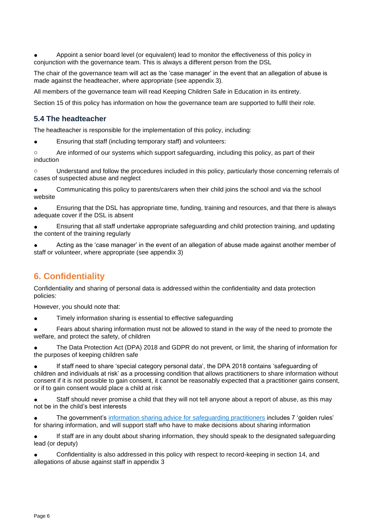Appoint a senior board level (or equivalent) lead to monitor the effectiveness of this policy in conjunction with the governance team. This is always a different person from the DSL

The chair of the governance team will act as the 'case manager' in the event that an allegation of abuse is made against the headteacher, where appropriate (see appendix 3).

All members of the governance team will read Keeping Children Safe in Education in its entirety.

Section 15 of this policy has information on how the governance team are supported to fulfil their role.

# **5.4 The headteacher**

The headteacher is responsible for the implementation of this policy, including:

Ensuring that staff (including temporary staff) and volunteers:

o Are informed of our systems which support safeguarding, including this policy, as part of their induction

o Understand and follow the procedures included in this policy, particularly those concerning referrals of cases of suspected abuse and neglect

Communicating this policy to parents/carers when their child joins the school and via the school website

Ensuring that the DSL has appropriate time, funding, training and resources, and that there is always adequate cover if the DSL is absent

Ensuring that all staff undertake appropriate safeguarding and child protection training, and updating the content of the training regularly

Acting as the 'case manager' in the event of an allegation of abuse made against another member of staff or volunteer, where appropriate (see appendix 3)

# <span id="page-5-0"></span>**6. Confidentiality**

Confidentiality and sharing of personal data is addressed within the confidentiality and data protection policies:

However, you should note that:

Timely information sharing is essential to effective safeguarding

● Fears about sharing information must not be allowed to stand in the way of the need to promote the welfare, and protect the safety, of children

The Data Protection Act (DPA) 2018 and GDPR do not prevent, or limit, the sharing of information for the purposes of keeping children safe

If staff need to share 'special category personal data', the DPA 2018 contains 'safeguarding of children and individuals at risk' as a processing condition that allows practitioners to share information without consent if it is not possible to gain consent, it cannot be reasonably expected that a practitioner gains consent, or if to gain consent would place a child at risk

Staff should never promise a child that they will not tell anyone about a report of abuse, as this may not be in the child's best interests

The government's information sharing advice [for safeguarding practitioners](https://www.gov.uk/government/publications/safeguarding-practitioners-information-sharing-advice) includes 7 'golden rules' for sharing information, and will support staff who have to make decisions about sharing information

If staff are in any doubt about sharing information, they should speak to the designated safeguarding lead (or deputy)

Confidentiality is also addressed in this policy with respect to record-keeping in section 14, and allegations of abuse against staff in appendix 3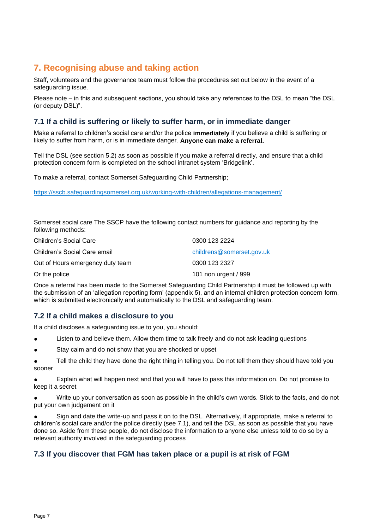# <span id="page-6-0"></span>**7. Recognising abuse and taking action**

Staff, volunteers and the governance team must follow the procedures set out below in the event of a safeguarding issue.

Please note – in this and subsequent sections, you should take any references to the DSL to mean "the DSL (or deputy DSL)".

# **7.1 If a child is suffering or likely to suffer harm, or in immediate danger**

Make a referral to children's social care and/or the police **immediately** if you believe a child is suffering or likely to suffer from harm, or is in immediate danger. **Anyone can make a referral.**

Tell the DSL (see section 5.2) as soon as possible if you make a referral directly, and ensure that a child protection concern form is completed on the school intranet system 'Bridgelink'.

To make a referral, contact Somerset Safeguarding Child Partnership;

<https://sscb.safeguardingsomerset.org.uk/working-with-children/allegations-management/>

Somerset social care The SSCP have the following contact numbers for guidance and reporting by the following methods:

| Children's Social Care           | 0300 123 2224             |
|----------------------------------|---------------------------|
| Children's Social Care email     | childrens@somerset.gov.uk |
| Out of Hours emergency duty team | 0300 123 2327             |
| Or the police                    | 101 non urgent / 999      |

Once a referral has been made to the Somerset Safeguarding Child Partnership it must be followed up with the submission of an 'allegation reporting form' (appendix 5), and an internal children protection concern form, which is submitted electronically and automatically to the DSL and safeguarding team.

# **7.2 If a child makes a disclosure to you**

If a child discloses a safeguarding issue to you, you should:

- Listen to and believe them. Allow them time to talk freely and do not ask leading questions
- Stay calm and do not show that you are shocked or upset
- Tell the child they have done the right thing in telling you. Do not tell them they should have told you sooner

Explain what will happen next and that you will have to pass this information on. Do not promise to keep it a secret

Write up your conversation as soon as possible in the child's own words. Stick to the facts, and do not put your own judgement on it

Sign and date the write-up and pass it on to the DSL. Alternatively, if appropriate, make a referral to children's social care and/or the police directly (see 7.1), and tell the DSL as soon as possible that you have done so. Aside from these people, do not disclose the information to anyone else unless told to do so by a relevant authority involved in the safeguarding process

# **7.3 If you discover that FGM has taken place or a pupil is at risk of FGM**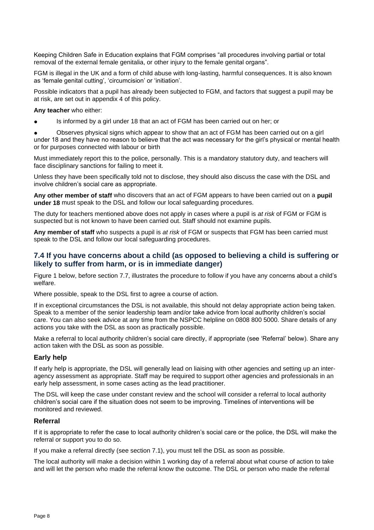Keeping Children Safe in Education explains that FGM comprises "all procedures involving partial or total removal of the external female genitalia, or other injury to the female genital organs".

FGM is illegal in the UK and a form of child abuse with long-lasting, harmful consequences. It is also known as 'female genital cutting', 'circumcision' or 'initiation'.

Possible indicators that a pupil has already been subjected to FGM, and factors that suggest a pupil may be at risk, are set out in appendix 4 of this policy.

**Any teacher** who either:

Is informed by a girl under 18 that an act of FGM has been carried out on her; or

● Observes physical signs which appear to show that an act of FGM has been carried out on a girl under 18 and they have no reason to believe that the act was necessary for the girl's physical or mental health or for purposes connected with labour or birth

Must immediately report this to the police, personally. This is a mandatory statutory duty, and teachers will face disciplinary sanctions for failing to meet it.

Unless they have been specifically told not to disclose, they should also discuss the case with the DSL and involve children's social care as appropriate.

**Any other member of staff** who discovers that an act of FGM appears to have been carried out on a **pupil under 18** must speak to the DSL and follow our local safeguarding procedures.

The duty for teachers mentioned above does not apply in cases where a pupil is *at risk* of FGM or FGM is suspected but is not known to have been carried out. Staff should not examine pupils.

**Any member of staff** who suspects a pupil is *at risk* of FGM or suspects that FGM has been carried must speak to the DSL and follow our local safeguarding procedures.

# **7.4 If you have concerns about a child (as opposed to believing a child is suffering or likely to suffer from harm, or is in immediate danger)**

Figure 1 below, before section 7.7, illustrates the procedure to follow if you have any concerns about a child's welfare.

Where possible, speak to the DSL first to agree a course of action.

If in exceptional circumstances the DSL is not available, this should not delay appropriate action being taken. Speak to a member of the senior leadership team and/or take advice from local authority children's social care. You can also seek advice at any time from the NSPCC helpline on 0808 800 5000. Share details of any actions you take with the DSL as soon as practically possible.

Make a referral to local authority children's social care directly, if appropriate (see 'Referral' below). Share any action taken with the DSL as soon as possible.

#### **Early help**

If early help is appropriate, the DSL will generally lead on liaising with other agencies and setting up an interagency assessment as appropriate. Staff may be required to support other agencies and professionals in an early help assessment, in some cases acting as the lead practitioner.

The DSL will keep the case under constant review and the school will consider a referral to local authority children's social care if the situation does not seem to be improving. Timelines of interventions will be monitored and reviewed.

#### **Referral**

If it is appropriate to refer the case to local authority children's social care or the police, the DSL will make the referral or support you to do so.

If you make a referral directly (see section 7.1), you must tell the DSL as soon as possible.

The local authority will make a decision within 1 working day of a referral about what course of action to take and will let the person who made the referral know the outcome. The DSL or person who made the referral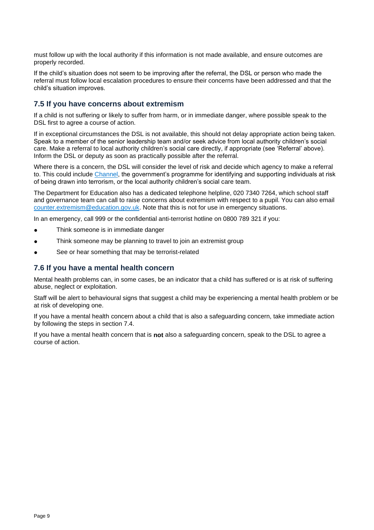must follow up with the local authority if this information is not made available, and ensure outcomes are properly recorded.

If the child's situation does not seem to be improving after the referral, the DSL or person who made the referral must follow local escalation procedures to ensure their concerns have been addressed and that the child's situation improves.

# **7.5 If you have concerns about extremism**

If a child is not suffering or likely to suffer from harm, or in immediate danger, where possible speak to the DSL first to agree a course of action.

If in exceptional circumstances the DSL is not available, this should not delay appropriate action being taken. Speak to a member of the senior leadership team and/or seek advice from local authority children's social care. Make a referral to local authority children's social care directly, if appropriate (see 'Referral' above). Inform the DSL or deputy as soon as practically possible after the referral.

Where there is a concern, the DSL will consider the level of risk and decide which agency to make a referral to. This could include [Channel,](https://www.gov.uk/government/publications/channel-guidance) the government's programme for identifying and supporting individuals at risk of being drawn into terrorism, or the local authority children's social care team.

The Department for Education also has a dedicated telephone helpline, 020 7340 7264, which school staff and governance team can call to raise concerns about extremism with respect to a pupil. You can also email [counter.extremism@education.gov.uk.](mailto:counter.extremism@education.gov.uk) Note that this is not for use in emergency situations.

In an emergency, call 999 or the confidential anti-terrorist hotline on 0800 789 321 if you:

- Think someone is in immediate danger
- Think someone may be planning to travel to join an extremist group
- See or hear something that may be terrorist-related

# **7.6 If you have a mental health concern**

Mental health problems can, in some cases, be an indicator that a child has suffered or is at risk of suffering abuse, neglect or exploitation.

Staff will be alert to behavioural signs that suggest a child may be experiencing a mental health problem or be at risk of developing one.

If you have a mental health concern about a child that is also a safeguarding concern, take immediate action by following the steps in section 7.4.

If you have a mental health concern that is **not** also a safeguarding concern, speak to the DSL to agree a course of action.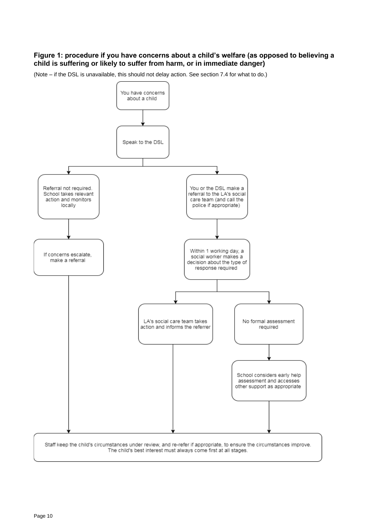# **Figure 1: procedure if you have concerns about a child's welfare (as opposed to believing a child is suffering or likely to suffer from harm, or in immediate danger)**

(Note – if the DSL is unavailable, this should not delay action. See section 7.4 for what to do.)

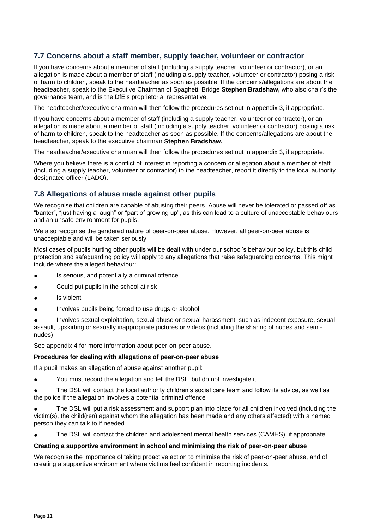# **7.7 Concerns about a staff member, supply teacher, volunteer or contractor**

If you have concerns about a member of staff (including a supply teacher, volunteer or contractor), or an allegation is made about a member of staff (including a supply teacher, volunteer or contractor) posing a risk of harm to children, speak to the headteacher as soon as possible. If the concerns/allegations are about the headteacher, speak to the Executive Chairman of Spaghetti Bridge **Stephen Bradshaw,** who also chair's the governance team, and is the DfE's proprietorial representative.

The headteacher/executive chairman will then follow the procedures set out in appendix 3, if appropriate.

If you have concerns about a member of staff (including a supply teacher, volunteer or contractor), or an allegation is made about a member of staff (including a supply teacher, volunteer or contractor) posing a risk of harm to children, speak to the headteacher as soon as possible. If the concerns/allegations are about the headteacher, speak to the executive chairman **Stephen Bradshaw.**

The headteacher/executive chairman will then follow the procedures set out in appendix 3, if appropriate.

Where you believe there is a conflict of interest in reporting a concern or allegation about a member of staff (including a supply teacher, volunteer or contractor) to the headteacher, report it directly to the local authority designated officer (LADO).

# **7.8 Allegations of abuse made against other pupils**

We recognise that children are capable of abusing their peers. Abuse will never be tolerated or passed off as "banter", "just having a laugh" or "part of growing up", as this can lead to a culture of unacceptable behaviours and an unsafe environment for pupils.

We also recognise the gendered nature of peer-on-peer abuse. However, all peer-on-peer abuse is unacceptable and will be taken seriously.

Most cases of pupils hurting other pupils will be dealt with under our school's behaviour policy, but this child protection and safeguarding policy will apply to any allegations that raise safeguarding concerns. This might include where the alleged behaviour:

- Is serious, and potentially a criminal offence
- Could put pupils in the school at risk
- Is violent
- Involves pupils being forced to use drugs or alcohol

Involves sexual exploitation, sexual abuse or sexual harassment, such as indecent exposure, sexual assault, upskirting or sexually inappropriate pictures or videos (including the sharing of nudes and seminudes)

See appendix 4 for more information about peer-on-peer abuse.

#### **Procedures for dealing with allegations of peer-on-peer abuse**

If a pupil makes an allegation of abuse against another pupil:

You must record the allegation and tell the DSL, but do not investigate it

The DSL will contact the local authority children's social care team and follow its advice, as well as the police if the allegation involves a potential criminal offence

The DSL will put a risk assessment and support plan into place for all children involved (including the victim(s), the child(ren) against whom the allegation has been made and any others affected) with a named person they can talk to if needed

The DSL will contact the children and adolescent mental health services (CAMHS), if appropriate

#### **Creating a supportive environment in school and minimising the risk of peer-on-peer abuse**

We recognise the importance of taking proactive action to minimise the risk of peer-on-peer abuse, and of creating a supportive environment where victims feel confident in reporting incidents.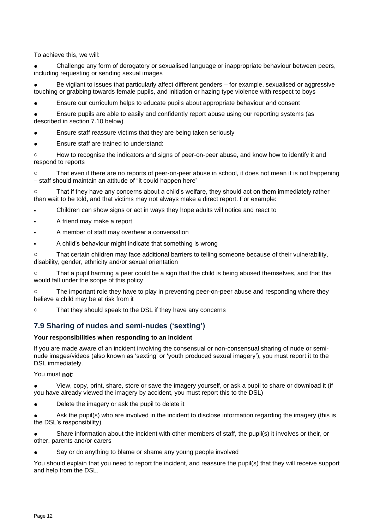To achieve this, we will:

Challenge any form of derogatory or sexualised language or inappropriate behaviour between peers, including requesting or sending sexual images

Be vigilant to issues that particularly affect different genders – for example, sexualised or aggressive touching or grabbing towards female pupils, and initiation or hazing type violence with respect to boys

Ensure our curriculum helps to educate pupils about appropriate behaviour and consent

Ensure pupils are able to easily and confidently report abuse using our reporting systems (as described in section 7.10 below)

Ensure staff reassure victims that they are being taken seriously

Ensure staff are trained to understand:

o How to recognise the indicators and signs of peer-on-peer abuse, and know how to identify it and respond to reports

o That even if there are no reports of peer-on-peer abuse in school, it does not mean it is not happening – staff should maintain an attitude of "it could happen here"

o That if they have any concerns about a child's welfare, they should act on them immediately rather than wait to be told, and that victims may not always make a direct report. For example:

- Children can show signs or act in ways they hope adults will notice and react to
- A friend may make a report
- A member of staff may overhear a conversation
- A child's behaviour might indicate that something is wrong

o That certain children may face additional barriers to telling someone because of their vulnerability, disability, gender, ethnicity and/or sexual orientation

o That a pupil harming a peer could be a sign that the child is being abused themselves, and that this would fall under the scope of this policy

The important role they have to play in preventing peer-on-peer abuse and responding where they believe a child may be at risk from it

o That they should speak to the DSL if they have any concerns

# **7.9 Sharing of nudes and semi-nudes ('sexting')**

#### **Your responsibilities when responding to an incident**

If you are made aware of an incident involving the consensual or non-consensual sharing of nude or seminude images/videos (also known as 'sexting' or 'youth produced sexual imagery'), you must report it to the DSL immediately.

You must **not**:

View, copy, print, share, store or save the imagery yourself, or ask a pupil to share or download it (if you have already viewed the imagery by accident, you must report this to the DSL)

Delete the imagery or ask the pupil to delete it

Ask the pupil(s) who are involved in the incident to disclose information regarding the imagery (this is the DSL's responsibility)

Share information about the incident with other members of staff, the pupil(s) it involves or their, or other, parents and/or carers

Say or do anything to blame or shame any young people involved

You should explain that you need to report the incident, and reassure the pupil(s) that they will receive support and help from the DSL.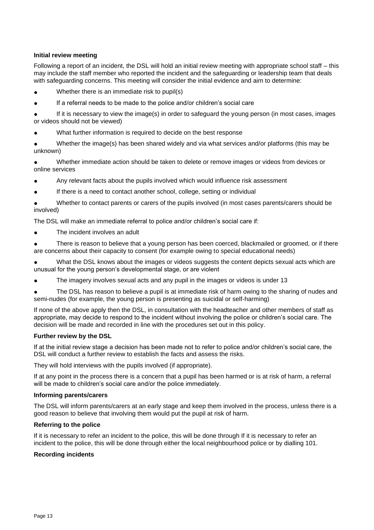#### **Initial review meeting**

Following a report of an incident, the DSL will hold an initial review meeting with appropriate school staff – this may include the staff member who reported the incident and the safeguarding or leadership team that deals with safeguarding concerns. This meeting will consider the initial evidence and aim to determine:

Whether there is an immediate risk to pupil(s)

● If a referral needs to be made to the police and/or children's social care

If it is necessary to view the image(s) in order to safeguard the young person (in most cases, images or videos should not be viewed)

What further information is required to decide on the best response

Whether the image(s) has been shared widely and via what services and/or platforms (this may be unknown)

Whether immediate action should be taken to delete or remove images or videos from devices or online services

Any relevant facts about the pupils involved which would influence risk assessment

If there is a need to contact another school, college, setting or individual

Whether to contact parents or carers of the pupils involved (in most cases parents/carers should be involved)

The DSL will make an immediate referral to police and/or children's social care if:

The incident involves an adult

There is reason to believe that a young person has been coerced, blackmailed or groomed, or if there are concerns about their capacity to consent (for example owing to special educational needs)

What the DSL knows about the images or videos suggests the content depicts sexual acts which are unusual for the young person's developmental stage, or are violent

The imagery involves sexual acts and any pupil in the images or videos is under 13

The DSL has reason to believe a pupil is at immediate risk of harm owing to the sharing of nudes and semi-nudes (for example, the young person is presenting as suicidal or self-harming)

If none of the above apply then the DSL, in consultation with the headteacher and other members of staff as appropriate, may decide to respond to the incident without involving the police or children's social care. The decision will be made and recorded in line with the procedures set out in this policy.

#### **Further review by the DSL**

If at the initial review stage a decision has been made not to refer to police and/or children's social care, the DSL will conduct a further review to establish the facts and assess the risks.

They will hold interviews with the pupils involved (if appropriate).

If at any point in the process there is a concern that a pupil has been harmed or is at risk of harm, a referral will be made to children's social care and/or the police immediately.

#### **Informing parents/carers**

The DSL will inform parents/carers at an early stage and keep them involved in the process, unless there is a good reason to believe that involving them would put the pupil at risk of harm.

#### **Referring to the police**

If it is necessary to refer an incident to the police, this will be done through If it is necessary to refer an incident to the police, this will be done through either the local neighbourhood police or by dialling 101.

#### **Recording incidents**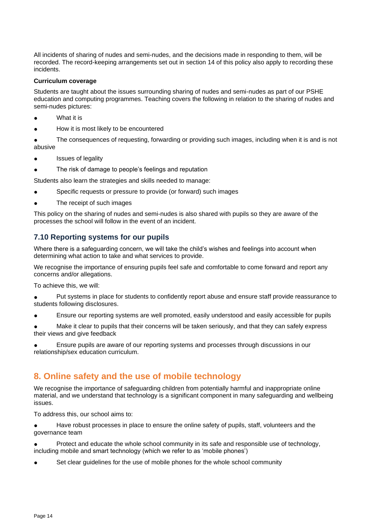All incidents of sharing of nudes and semi-nudes, and the decisions made in responding to them, will be recorded. The record-keeping arrangements set out in section 14 of this policy also apply to recording these incidents.

#### **Curriculum coverage**

Students are taught about the issues surrounding sharing of nudes and semi-nudes as part of our PSHE education and computing programmes. Teaching covers the following in relation to the sharing of nudes and semi-nudes pictures:

- What it is
- How it is most likely to be encountered

● The consequences of requesting, forwarding or providing such images, including when it is and is not abusive

- Issues of legality
- The risk of damage to people's feelings and reputation

Students also learn the strategies and skills needed to manage:

- Specific requests or pressure to provide (or forward) such images
- The receipt of such images

This policy on the sharing of nudes and semi-nudes is also shared with pupils so they are aware of the processes the school will follow in the event of an incident.

# **7.10 Reporting systems for our pupils**

Where there is a safeguarding concern, we will take the child's wishes and feelings into account when determining what action to take and what services to provide.

We recognise the importance of ensuring pupils feel safe and comfortable to come forward and report any concerns and/or allegations.

To achieve this, we will:

Put systems in place for students to confidently report abuse and ensure staff provide reassurance to students following disclosures.

Ensure our reporting systems are well promoted, easily understood and easily accessible for pupils

Make it clear to pupils that their concerns will be taken seriously, and that they can safely express their views and give feedback

Ensure pupils are aware of our reporting systems and processes through discussions in our relationship/sex education curriculum.

# <span id="page-13-0"></span>**8. Online safety and the use of mobile technology**

We recognise the importance of safeguarding children from potentially harmful and inappropriate online material, and we understand that technology is a significant component in many safeguarding and wellbeing issues.

To address this, our school aims to:

Have robust processes in place to ensure the online safety of pupils, staff, volunteers and the governance team

Protect and educate the whole school community in its safe and responsible use of technology, including mobile and smart technology (which we refer to as 'mobile phones')

Set clear guidelines for the use of mobile phones for the whole school community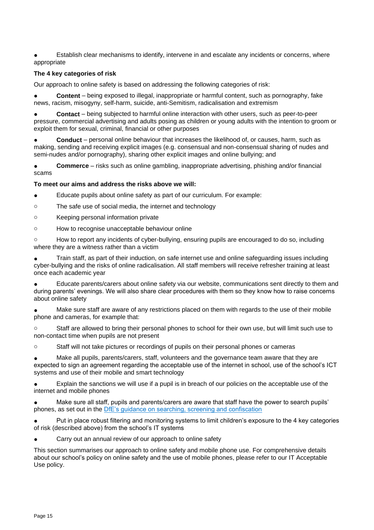Establish clear mechanisms to identify, intervene in and escalate any incidents or concerns, where appropriate

#### **The 4 key categories of risk**

Our approach to online safety is based on addressing the following categories of risk:

**Content** – being exposed to illegal, inappropriate or harmful content, such as pornography, fake news, racism, misogyny, self-harm, suicide, anti-Semitism, radicalisation and extremism

**Contact** – being subjected to harmful online interaction with other users, such as peer-to-peer pressure, commercial advertising and adults posing as children or young adults with the intention to groom or exploit them for sexual, criminal, financial or other purposes

**Conduct** – personal online behaviour that increases the likelihood of, or causes, harm, such as making, sending and receiving explicit images (e.g. consensual and non-consensual sharing of nudes and semi-nudes and/or pornography), sharing other explicit images and online bullying; and

**Commerce** – risks such as online gambling, inappropriate advertising, phishing and/or financial scams

#### **To meet our aims and address the risks above we will:**

Educate pupils about online safety as part of our curriculum. For example:

o The safe use of social media, the internet and technology

- o Keeping personal information private
- o How to recognise unacceptable behaviour online

o How to report any incidents of cyber-bullying, ensuring pupils are encouraged to do so, including where they are a witness rather than a victim

Train staff, as part of their induction, on safe internet use and online safeguarding issues including cyber-bullying and the risks of online radicalisation. All staff members will receive refresher training at least once each academic year

Educate parents/carers about online safety via our website, communications sent directly to them and during parents' evenings. We will also share clear procedures with them so they know how to raise concerns about online safety

Make sure staff are aware of any restrictions placed on them with regards to the use of their mobile phone and cameras, for example that:

o Staff are allowed to bring their personal phones to school for their own use, but will limit such use to non-contact time when pupils are not present

o Staff will not take pictures or recordings of pupils on their personal phones or cameras

Make all pupils, parents/carers, staff, volunteers and the governance team aware that they are expected to sign an agreement regarding the acceptable use of the internet in school, use of the school's ICT systems and use of their mobile and smart technology

Explain the sanctions we will use if a pupil is in breach of our policies on the acceptable use of the internet and mobile phones

Make sure all staff, pupils and parents/carers are aware that staff have the power to search pupils' phones, as set out in the [DfE's guidance on searching, screening and confiscation](https://www.gov.uk/government/publications/searching-screening-and-confiscation)

Put in place robust filtering and monitoring systems to limit children's exposure to the 4 key categories of risk (described above) from the school's IT systems

Carry out an annual review of our approach to online safety

This section summarises our approach to online safety and mobile phone use. For comprehensive details about our school's policy on online safety and the use of mobile phones, please refer to our IT Acceptable Use policy.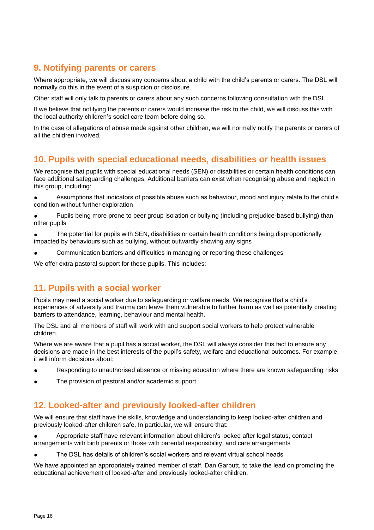# <span id="page-15-0"></span>**9. Notifying parents or carers**

Where appropriate, we will discuss any concerns about a child with the child's parents or carers. The DSL will normally do this in the event of a suspicion or disclosure.

Other staff will only talk to parents or carers about any such concerns following consultation with the DSL.

If we believe that notifying the parents or carers would increase the risk to the child, we will discuss this with the local authority children's social care team before doing so.

In the case of allegations of abuse made against other children, we will normally notify the parents or carers of all the children involved.

# <span id="page-15-1"></span>**10. Pupils with special educational needs, disabilities or health issues**

We recognise that pupils with special educational needs (SEN) or disabilities or certain health conditions can face additional safeguarding challenges. Additional barriers can exist when recognising abuse and neglect in this group, including:

Assumptions that indicators of possible abuse such as behaviour, mood and injury relate to the child's condition without further exploration

Pupils being more prone to peer group isolation or bullying (including prejudice-based bullying) than other pupils

The potential for pupils with SEN, disabilities or certain health conditions being disproportionally impacted by behaviours such as bullying, without outwardly showing any signs

Communication barriers and difficulties in managing or reporting these challenges

<span id="page-15-2"></span>We offer extra pastoral support for these pupils. This includes:

# **11. Pupils with a social worker**

Pupils may need a social worker due to safeguarding or welfare needs. We recognise that a child's experiences of adversity and trauma can leave them vulnerable to further harm as well as potentially creating barriers to attendance, learning, behaviour and mental health.

The DSL and all members of staff will work with and support social workers to help protect vulnerable children.

Where we are aware that a pupil has a social worker, the DSL will always consider this fact to ensure any decisions are made in the best interests of the pupil's safety, welfare and educational outcomes. For example, it will inform decisions about:

- Responding to unauthorised absence or missing education where there are known safeguarding risks
- The provision of pastoral and/or academic support

# <span id="page-15-3"></span>**12. Looked-after and previously looked-after children**

We will ensure that staff have the skills, knowledge and understanding to keep looked-after children and previously looked-after children safe. In particular, we will ensure that:

Appropriate staff have relevant information about children's looked after legal status, contact arrangements with birth parents or those with parental responsibility, and care arrangements

The DSL has details of children's social workers and relevant virtual school heads

We have appointed an appropriately trained member of staff, Dan Garbutt, to take the lead on promoting the educational achievement of looked-after and previously looked-after children.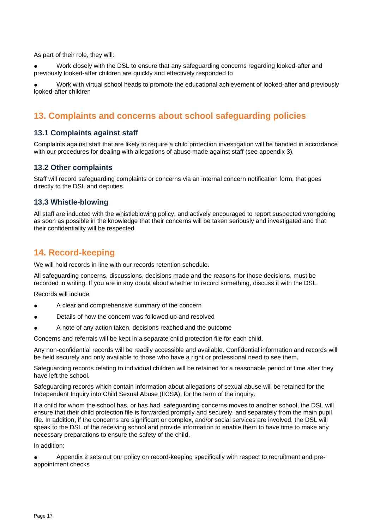As part of their role, they will:

Work closely with the DSL to ensure that any safeguarding concerns regarding looked-after and previously looked-after children are quickly and effectively responded to

Work with virtual school heads to promote the educational achievement of looked-after and previously looked-after children

# <span id="page-16-0"></span>**13. Complaints and concerns about school safeguarding policies**

# **13.1 Complaints against staff**

Complaints against staff that are likely to require a child protection investigation will be handled in accordance with our procedures for dealing with allegations of abuse made against staff (see appendix 3).

# **13.2 Other complaints**

Staff will record safeguarding complaints or concerns via an internal concern notification form, that goes directly to the DSL and deputies.

# **13.3 Whistle-blowing**

All staff are inducted with the whistleblowing policy, and actively encouraged to report suspected wrongdoing as soon as possible in the knowledge that their concerns will be taken seriously and investigated and that their confidentiality will be respected

# <span id="page-16-1"></span>**14. Record-keeping**

We will hold records in line with our records retention schedule.

All safeguarding concerns, discussions, decisions made and the reasons for those decisions, must be recorded in writing. If you are in any doubt about whether to record something, discuss it with the DSL.

Records will include:

- A clear and comprehensive summary of the concern
- Details of how the concern was followed up and resolved
- A note of any action taken, decisions reached and the outcome

Concerns and referrals will be kept in a separate child protection file for each child.

Any non-confidential records will be readily accessible and available. Confidential information and records will be held securely and only available to those who have a right or professional need to see them.

Safeguarding records relating to individual children will be retained for a reasonable period of time after they have left the school.

Safeguarding records which contain information about allegations of sexual abuse will be retained for the Independent Inquiry into Child Sexual Abuse (IICSA), for the term of the inquiry.

If a child for whom the school has, or has had, safeguarding concerns moves to another school, the DSL will ensure that their child protection file is forwarded promptly and securely, and separately from the main pupil file. In addition, if the concerns are significant or complex, and/or social services are involved, the DSL will speak to the DSL of the receiving school and provide information to enable them to have time to make any necessary preparations to ensure the safety of the child.

In addition:

Appendix 2 sets out our policy on record-keeping specifically with respect to recruitment and preappointment checks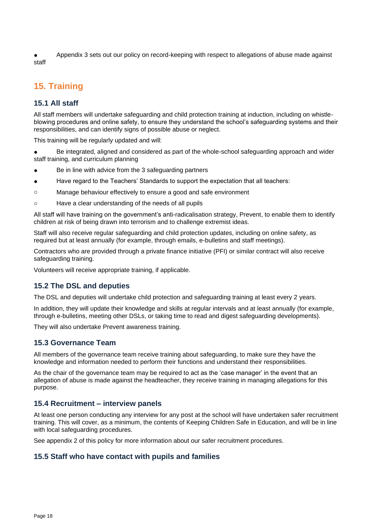Appendix 3 sets out our policy on record-keeping with respect to allegations of abuse made against staff

# <span id="page-17-0"></span>**15. Training**

# **15.1 All staff**

All staff members will undertake safeguarding and child protection training at induction, including on whistleblowing procedures and online safety, to ensure they understand the school's safeguarding systems and their responsibilities, and can identify signs of possible abuse or neglect.

This training will be regularly updated and will:

Be integrated, aligned and considered as part of the whole-school safeguarding approach and wider staff training, and curriculum planning

- Be in line with advice from the 3 safeguarding partners
- Have regard to the Teachers' Standards to support the expectation that all teachers:
- o Manage behaviour effectively to ensure a good and safe environment
- o Have a clear understanding of the needs of all pupils

All staff will have training on the government's anti-radicalisation strategy, Prevent, to enable them to identify children at risk of being drawn into terrorism and to challenge extremist ideas.

Staff will also receive regular safeguarding and child protection updates, including on online safety, as required but at least annually (for example, through emails, e-bulletins and staff meetings).

Contractors who are provided through a private finance initiative (PFI) or similar contract will also receive safeguarding training.

Volunteers will receive appropriate training, if applicable.

# **15.2 The DSL and deputies**

The DSL and deputies will undertake child protection and safeguarding training at least every 2 years.

In addition, they will update their knowledge and skills at regular intervals and at least annually (for example, through e-bulletins, meeting other DSLs, or taking time to read and digest safeguarding developments).

They will also undertake Prevent awareness training.

# **15.3 Governance Team**

All members of the governance team receive training about safeguarding, to make sure they have the knowledge and information needed to perform their functions and understand their responsibilities.

As the chair of the governance team may be required to act as the 'case manager' in the event that an allegation of abuse is made against the headteacher, they receive training in managing allegations for this purpose.

# **15.4 Recruitment – interview panels**

At least one person conducting any interview for any post at the school will have undertaken safer recruitment training. This will cover, as a minimum, the contents of Keeping Children Safe in Education, and will be in line with local safeguarding procedures.

See appendix 2 of this policy for more information about our safer recruitment procedures.

# **15.5 Staff who have contact with pupils and families**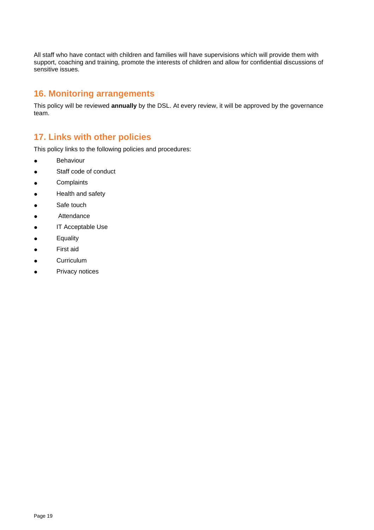All staff who have contact with children and families will have supervisions which will provide them with support, coaching and training, promote the interests of children and allow for confidential discussions of sensitive issues.

# <span id="page-18-0"></span>**16. Monitoring arrangements**

This policy will be reviewed **annually** by the DSL. At every review, it will be approved by the governance team.

# <span id="page-18-1"></span>**17. Links with other policies**

This policy links to the following policies and procedures:

- Behaviour
- Staff code of conduct
- Complaints
- Health and safety
- Safe touch
- Attendance
- **IT Acceptable Use**
- Equality
- First aid
- Curriculum
- <span id="page-18-2"></span>● Privacy notices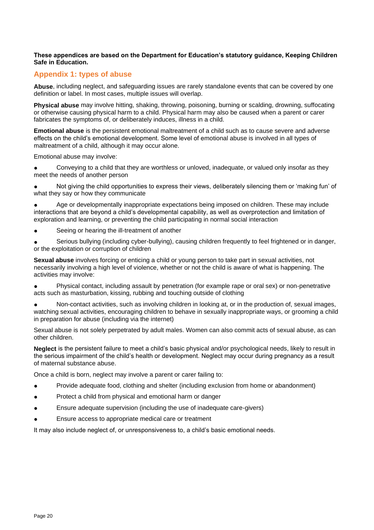#### **These appendices are based on the Department for Education's statutory guidance, Keeping Children Safe in Education.**

# **Appendix 1: types of abuse**

**Abuse**, including neglect, and safeguarding issues are rarely standalone events that can be covered by one definition or label. In most cases, multiple issues will overlap.

**Physical abuse** may involve hitting, shaking, throwing, poisoning, burning or scalding, drowning, suffocating or otherwise causing physical harm to a child. Physical harm may also be caused when a parent or carer fabricates the symptoms of, or deliberately induces, illness in a child.

**Emotional abuse** is the persistent emotional maltreatment of a child such as to cause severe and adverse effects on the child's emotional development. Some level of emotional abuse is involved in all types of maltreatment of a child, although it may occur alone.

Emotional abuse may involve:

● Conveying to a child that they are worthless or unloved, inadequate, or valued only insofar as they meet the needs of another person

Not giving the child opportunities to express their views, deliberately silencing them or 'making fun' of what they say or how they communicate

Age or developmentally inappropriate expectations being imposed on children. These may include interactions that are beyond a child's developmental capability, as well as overprotection and limitation of exploration and learning, or preventing the child participating in normal social interaction

● Seeing or hearing the ill-treatment of another

Serious bullying (including cyber-bullying), causing children frequently to feel frightened or in danger, or the exploitation or corruption of children

**Sexual abuse** involves forcing or enticing a child or young person to take part in sexual activities, not necessarily involving a high level of violence, whether or not the child is aware of what is happening. The activities may involve:

Physical contact, including assault by penetration (for example rape or oral sex) or non-penetrative acts such as masturbation, kissing, rubbing and touching outside of clothing

Non-contact activities, such as involving children in looking at, or in the production of, sexual images, watching sexual activities, encouraging children to behave in sexually inappropriate ways, or grooming a child in preparation for abuse (including via the internet)

Sexual abuse is not solely perpetrated by adult males. Women can also commit acts of sexual abuse, as can other children.

**Neglect** is the persistent failure to meet a child's basic physical and/or psychological needs, likely to result in the serious impairment of the child's health or development. Neglect may occur during pregnancy as a result of maternal substance abuse.

Once a child is born, neglect may involve a parent or carer failing to:

- Provide adequate food, clothing and shelter (including exclusion from home or abandonment)
- Protect a child from physical and emotional harm or danger
- Ensure adequate supervision (including the use of inadequate care-givers)
- Ensure access to appropriate medical care or treatment

<span id="page-19-0"></span>It may also include neglect of, or unresponsiveness to, a child's basic emotional needs.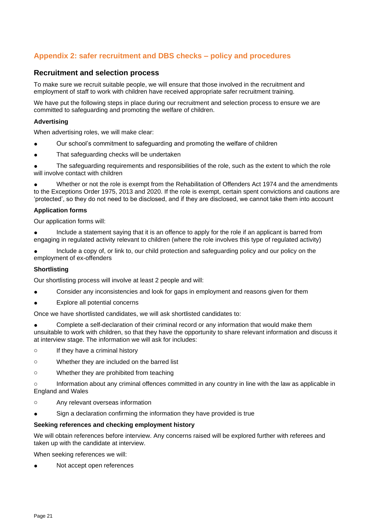# **Appendix 2: safer recruitment and DBS checks – policy and procedures**

### **Recruitment and selection process**

To make sure we recruit suitable people, we will ensure that those involved in the recruitment and employment of staff to work with children have received appropriate safer recruitment training.

We have put the following steps in place during our recruitment and selection process to ensure we are committed to safeguarding and promoting the welfare of children.

#### **Advertising**

When advertising roles, we will make clear:

- Our school's commitment to safeguarding and promoting the welfare of children
- That safeguarding checks will be undertaken

The safeguarding requirements and responsibilities of the role, such as the extent to which the role will involve contact with children

Whether or not the role is exempt from the Rehabilitation of Offenders Act 1974 and the amendments to the Exceptions Order 1975, 2013 and 2020. If the role is exempt, certain spent convictions and cautions are 'protected', so they do not need to be disclosed, and if they are disclosed, we cannot take them into account

#### **Application forms**

Our application forms will:

Include a statement saying that it is an offence to apply for the role if an applicant is barred from engaging in regulated activity relevant to children (where the role involves this type of regulated activity)

Include a copy of, or link to, our child protection and safeguarding policy and our policy on the employment of ex-offenders

#### **Shortlisting**

Our shortlisting process will involve at least 2 people and will:

- Consider any inconsistencies and look for gaps in employment and reasons given for them
- Explore all potential concerns

Once we have shortlisted candidates, we will ask shortlisted candidates to:

Complete a self-declaration of their criminal record or any information that would make them unsuitable to work with children, so that they have the opportunity to share relevant information and discuss it at interview stage. The information we will ask for includes:

- o If they have a criminal history
- o Whether they are included on the barred list
- o Whether they are prohibited from teaching

o Information about any criminal offences committed in any country in line with the law as applicable in England and Wales

- o Any relevant overseas information
- Sign a declaration confirming the information they have provided is true

#### **Seeking references and checking employment history**

We will obtain references before interview. Any concerns raised will be explored further with referees and taken up with the candidate at interview.

When seeking references we will:

Not accept open references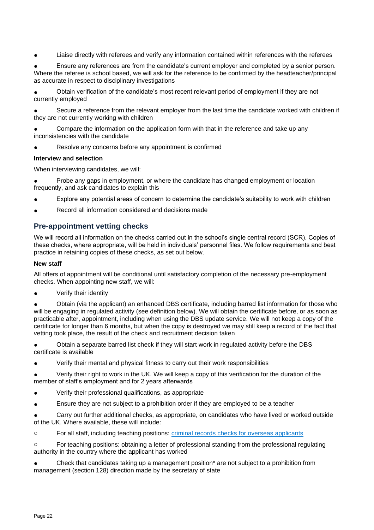Liaise directly with referees and verify any information contained within references with the referees

Ensure any references are from the candidate's current employer and completed by a senior person. Where the referee is school based, we will ask for the reference to be confirmed by the headteacher/principal as accurate in respect to disciplinary investigations

Obtain verification of the candidate's most recent relevant period of employment if they are not currently employed

Secure a reference from the relevant employer from the last time the candidate worked with children if they are not currently working with children

Compare the information on the application form with that in the reference and take up any inconsistencies with the candidate

Resolve any concerns before any appointment is confirmed

#### **Interview and selection**

When interviewing candidates, we will:

Probe any gaps in employment, or where the candidate has changed employment or location frequently, and ask candidates to explain this

- Explore any potential areas of concern to determine the candidate's suitability to work with children
- Record all information considered and decisions made

# **Pre-appointment vetting checks**

We will record all information on the checks carried out in the school's single central record (SCR). Copies of these checks, where appropriate, will be held in individuals' personnel files. We follow requirements and best practice in retaining copies of these checks, as set out below.

#### **New staff**

All offers of appointment will be conditional until satisfactory completion of the necessary pre-employment checks. When appointing new staff, we will:

Verify their identity

Obtain (via the applicant) an enhanced DBS certificate, including barred list information for those who will be engaging in regulated activity (see definition below). We will obtain the certificate before, or as soon as practicable after, appointment, including when using the DBS update service. We will not keep a copy of the certificate for longer than 6 months, but when the copy is destroyed we may still keep a record of the fact that vetting took place, the result of the check and recruitment decision taken

Obtain a separate barred list check if they will start work in regulated activity before the DBS certificate is available

Verify their mental and physical fitness to carry out their work responsibilities

Verify their right to work in the UK. We will keep a copy of this verification for the duration of the member of staff's employment and for 2 years afterwards

- Verify their professional qualifications, as appropriate
- Ensure they are not subject to a prohibition order if they are employed to be a teacher

Carry out further additional checks, as appropriate, on candidates who have lived or worked outside of the UK. Where available, these will include:

o For all staff, including teaching positions: [criminal records checks for overseas applicants](https://www.gov.uk/government/publications/criminal-records-checks-for-overseas-applicants)

o For teaching positions: obtaining a letter of professional standing from the professional regulating authority in the country where the applicant has worked

Check that candidates taking up a management position\* are not subject to a prohibition from management (section 128) direction made by the secretary of state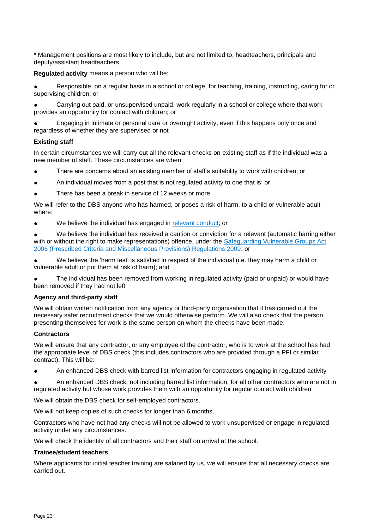\* Management positions are most likely to include, but are not limited to, headteachers, principals and deputy/assistant headteachers.

**Regulated activity** means a person who will be:

Responsible, on a regular basis in a school or college, for teaching, training, instructing, caring for or supervising children; or

Carrying out paid, or unsupervised unpaid, work regularly in a school or college where that work provides an opportunity for contact with children; or

Engaging in intimate or personal care or overnight activity, even if this happens only once and regardless of whether they are supervised or not

#### **Existing staff**

In certain circumstances we will carry out all the relevant checks on existing staff as if the individual was a new member of staff. These circumstances are when:

- There are concerns about an existing member of staff's suitability to work with children; or
- An individual moves from a post that is not regulated activity to one that is; or
- There has been a break in service of 12 weeks or more

We will refer to the DBS anyone who has harmed, or poses a risk of harm, to a child or vulnerable adult where:

● We believe the individual has engaged in [relevant conduct;](https://www.gov.uk/guidance/making-barring-referrals-to-the-dbs#relevant-conduct-in-relation-to-children) or

We believe the individual has received a caution or conviction for a relevant (automatic barring either with or without the right to make representations) offence, under the Safeguarding Vulnerable Groups Act [2006 \(Prescribed Criteria and Miscellaneous Provisions\) Regulations 2009;](http://www.legislation.gov.uk/uksi/2009/37/contents/made) or

● We believe the 'harm test' is satisfied in respect of the individual (i.e. they may harm a child or vulnerable adult or put them at risk of harm); and

The individual has been removed from working in regulated activity (paid or unpaid) or would have been removed if they had not left

#### **Agency and third-party staff**

We will obtain written notification from any agency or third-party organisation that it has carried out the necessary safer recruitment checks that we would otherwise perform. We will also check that the person presenting themselves for work is the same person on whom the checks have been made.

#### **Contractors**

We will ensure that any contractor, or any employee of the contractor, who is to work at the school has had the appropriate level of DBS check (this includes contractors who are provided through a PFI or similar contract). This will be:

An enhanced DBS check with barred list information for contractors engaging in regulated activity

An enhanced DBS check, not including barred list information, for all other contractors who are not in regulated activity but whose work provides them with an opportunity for regular contact with children

We will obtain the DBS check for self-employed contractors.

We will not keep copies of such checks for longer than 6 months.

Contractors who have not had any checks will not be allowed to work unsupervised or engage in regulated activity under any circumstances.

We will check the identity of all contractors and their staff on arrival at the school.

#### **Trainee/student teachers**

Where applicants for initial teacher training are salaried by us, we will ensure that all necessary checks are carried out.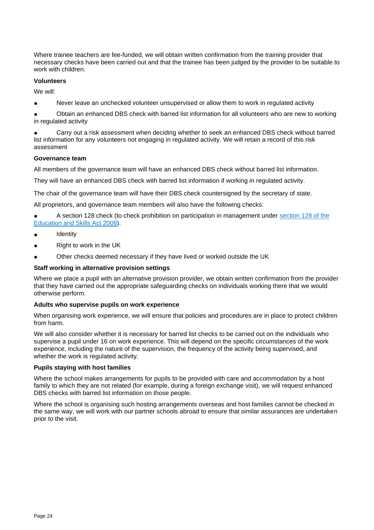Where trainee teachers are fee-funded, we will obtain written confirmation from the training provider that necessary checks have been carried out and that the trainee has been judged by the provider to be suitable to work with children.

#### **Volunteers**

We will:

● Never leave an unchecked volunteer unsupervised or allow them to work in regulated activity

Obtain an enhanced DBS check with barred list information for all volunteers who are new to working in regulated activity

Carry out a risk assessment when deciding whether to seek an enhanced DBS check without barred list information for any volunteers not engaging in regulated activity. We will retain a record of this risk assessment

#### **Governance team**

All members of the governance team will have an enhanced DBS check without barred list information.

They will have an enhanced DBS check with barred list information if working in regulated activity.

The chair of the governance team will have their DBS check countersigned by the secretary of state.

All proprietors, and governance team members will also have the following checks:

● A section 128 check (to check prohibition on participation in management under [section 128 of the](https://www.legislation.gov.uk/ukpga/2008/25/section/128)  [Education and Skills Act 2008\)](https://www.legislation.gov.uk/ukpga/2008/25/section/128).

- **Identity**
- Right to work in the UK
- Other checks deemed necessary if they have lived or worked outside the UK

#### **Staff working in alternative provision settings**

Where we place a pupil with an alternative provision provider, we obtain written confirmation from the provider that they have carried out the appropriate safeguarding checks on individuals working there that we would otherwise perform.

#### **Adults who supervise pupils on work experience**

When organising work experience, we will ensure that policies and procedures are in place to protect children from harm.

We will also consider whether it is necessary for barred list checks to be carried out on the individuals who supervise a pupil under 16 on work experience. This will depend on the specific circumstances of the work experience, including the nature of the supervision, the frequency of the activity being supervised, and whether the work is regulated activity.

#### **Pupils staying with host families**

Where the school makes arrangements for pupils to be provided with care and accommodation by a host family to which they are not related (for example, during a foreign exchange visit), we will request enhanced DBS checks with barred list information on those people.

<span id="page-23-0"></span>Where the school is organising such hosting arrangements overseas and host families cannot be checked in the same way, we will work with our partner schools abroad to ensure that similar assurances are undertaken prior to the visit.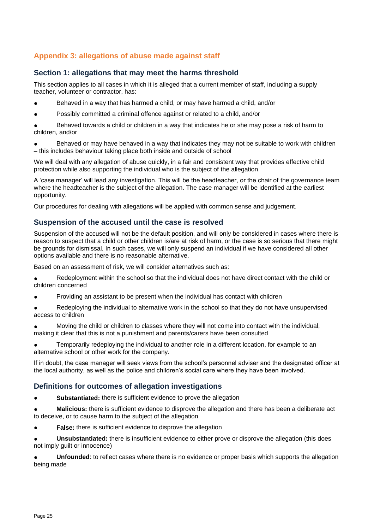# **Appendix 3: allegations of abuse made against staff**

# **Section 1: allegations that may meet the harms threshold**

This section applies to all cases in which it is alleged that a current member of staff, including a supply teacher, volunteer or contractor, has:

- Behaved in a way that has harmed a child, or may have harmed a child, and/or
- Possibly committed a criminal offence against or related to a child, and/or

Behaved towards a child or children in a way that indicates he or she may pose a risk of harm to children, and/or

Behaved or may have behaved in a way that indicates they may not be suitable to work with children – this includes behaviour taking place both inside and outside of school

We will deal with any allegation of abuse quickly, in a fair and consistent way that provides effective child protection while also supporting the individual who is the subject of the allegation.

A 'case manager' will lead any investigation. This will be the headteacher, or the chair of the governance team where the headteacher is the subject of the allegation. The case manager will be identified at the earliest opportunity.

Our procedures for dealing with allegations will be applied with common sense and judgement.

# **Suspension of the accused until the case is resolved**

Suspension of the accused will not be the default position, and will only be considered in cases where there is reason to suspect that a child or other children is/are at risk of harm, or the case is so serious that there might be grounds for dismissal. In such cases, we will only suspend an individual if we have considered all other options available and there is no reasonable alternative.

Based on an assessment of risk, we will consider alternatives such as:

- Redeployment within the school so that the individual does not have direct contact with the child or children concerned
- Providing an assistant to be present when the individual has contact with children

• Redeploying the individual to alternative work in the school so that they do not have unsupervised access to children

Moving the child or children to classes where they will not come into contact with the individual, making it clear that this is not a punishment and parents/carers have been consulted

Temporarily redeploying the individual to another role in a different location, for example to an alternative school or other work for the company.

If in doubt, the case manager will seek views from the school's personnel adviser and the designated officer at the local authority, as well as the police and children's social care where they have been involved.

# **Definitions for outcomes of allegation investigations**

**Substantiated:** there is sufficient evidence to prove the allegation

**Malicious:** there is sufficient evidence to disprove the allegation and there has been a deliberate act to deceive, or to cause harm to the subject of the allegation

**False:** there is sufficient evidence to disprove the allegation

**Unsubstantiated:** there is insufficient evidence to either prove or disprove the allegation (this does not imply guilt or innocence)

**Unfounded**: to reflect cases where there is no evidence or proper basis which supports the allegation being made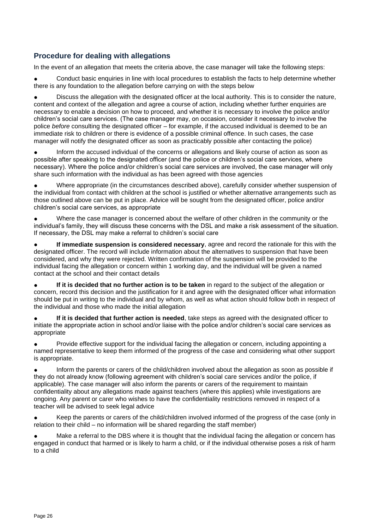# **Procedure for dealing with allegations**

In the event of an allegation that meets the criteria above, the case manager will take the following steps:

Conduct basic enquiries in line with local procedures to establish the facts to help determine whether there is any foundation to the allegation before carrying on with the steps below

Discuss the allegation with the designated officer at the local authority. This is to consider the nature, content and context of the allegation and agree a course of action, including whether further enquiries are necessary to enable a decision on how to proceed, and whether it is necessary to involve the police and/or children's social care services. (The case manager may, on occasion, consider it necessary to involve the police *before* consulting the designated officer – for example, if the accused individual is deemed to be an immediate risk to children or there is evidence of a possible criminal offence. In such cases, the case manager will notify the designated officer as soon as practicably possible after contacting the police)

Inform the accused individual of the concerns or allegations and likely course of action as soon as possible after speaking to the designated officer (and the police or children's social care services, where necessary). Where the police and/or children's social care services are involved, the case manager will only share such information with the individual as has been agreed with those agencies

Where appropriate (in the circumstances described above), carefully consider whether suspension of the individual from contact with children at the school is justified or whether alternative arrangements such as those outlined above can be put in place. Advice will be sought from the designated officer, police and/or children's social care services, as appropriate

Where the case manager is concerned about the welfare of other children in the community or the individual's family, they will discuss these concerns with the DSL and make a risk assessment of the situation. If necessary, the DSL may make a referral to children's social care

If immediate suspension is considered necessary, agree and record the rationale for this with the designated officer. The record will include information about the alternatives to suspension that have been considered, and why they were rejected. Written confirmation of the suspension will be provided to the individual facing the allegation or concern within 1 working day, and the individual will be given a named contact at the school and their contact details

If it is decided that no further action is to be taken in regard to the subject of the allegation or concern, record this decision and the justification for it and agree with the designated officer what information should be put in writing to the individual and by whom, as well as what action should follow both in respect of the individual and those who made the initial allegation

**If it is decided that further action is needed, take steps as agreed with the designated officer to** initiate the appropriate action in school and/or liaise with the police and/or children's social care services as appropriate

Provide effective support for the individual facing the allegation or concern, including appointing a named representative to keep them informed of the progress of the case and considering what other support is appropriate.

Inform the parents or carers of the child/children involved about the allegation as soon as possible if they do not already know (following agreement with children's social care services and/or the police, if applicable). The case manager will also inform the parents or carers of the requirement to maintain confidentiality about any allegations made against teachers (where this applies) while investigations are ongoing. Any parent or carer who wishes to have the confidentiality restrictions removed in respect of a teacher will be advised to seek legal advice

Keep the parents or carers of the child/children involved informed of the progress of the case (only in relation to their child – no information will be shared regarding the staff member)

Make a referral to the DBS where it is thought that the individual facing the allegation or concern has engaged in conduct that harmed or is likely to harm a child, or if the individual otherwise poses a risk of harm to a child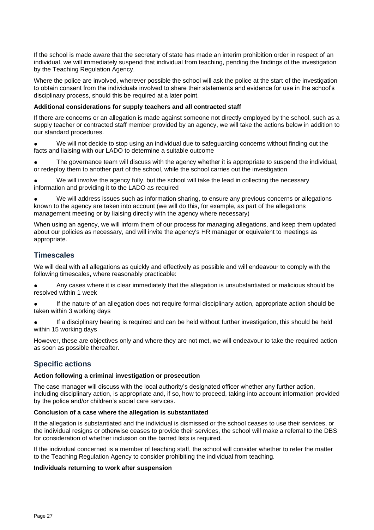If the school is made aware that the secretary of state has made an interim prohibition order in respect of an individual, we will immediately suspend that individual from teaching, pending the findings of the investigation by the Teaching Regulation Agency.

Where the police are involved, wherever possible the school will ask the police at the start of the investigation to obtain consent from the individuals involved to share their statements and evidence for use in the school's disciplinary process, should this be required at a later point.

#### **Additional considerations for supply teachers and all contracted staff**

If there are concerns or an allegation is made against someone not directly employed by the school, such as a supply teacher or contracted staff member provided by an agency, we will take the actions below in addition to our standard procedures.

We will not decide to stop using an individual due to safeguarding concerns without finding out the facts and liaising with our LADO to determine a suitable outcome

The governance team will discuss with the agency whether it is appropriate to suspend the individual, or redeploy them to another part of the school, while the school carries out the investigation

We will involve the agency fully, but the school will take the lead in collecting the necessary information and providing it to the LADO as required

We will address issues such as information sharing, to ensure any previous concerns or allegations known to the agency are taken into account (we will do this, for example, as part of the allegations management meeting or by liaising directly with the agency where necessary)

When using an agency, we will inform them of our process for managing allegations, and keep them updated about our policies as necessary, and will invite the agency's HR manager or equivalent to meetings as appropriate.

# **Timescales**

We will deal with all allegations as quickly and effectively as possible and will endeavour to comply with the following timescales, where reasonably practicable:

- Any cases where it is clear immediately that the allegation is unsubstantiated or malicious should be resolved within 1 week
- If the nature of an allegation does not require formal disciplinary action, appropriate action should be taken within 3 working days
- If a disciplinary hearing is required and can be held without further investigation, this should be held within 15 working days

However, these are objectives only and where they are not met, we will endeavour to take the required action as soon as possible thereafter.

# **Specific actions**

#### **Action following a criminal investigation or prosecution**

The case manager will discuss with the local authority's designated officer whether any further action, including disciplinary action, is appropriate and, if so, how to proceed, taking into account information provided by the police and/or children's social care services.

#### **Conclusion of a case where the allegation is substantiated**

If the allegation is substantiated and the individual is dismissed or the school ceases to use their services, or the individual resigns or otherwise ceases to provide their services, the school will make a referral to the DBS for consideration of whether inclusion on the barred lists is required.

If the individual concerned is a member of teaching staff, the school will consider whether to refer the matter to the Teaching Regulation Agency to consider prohibiting the individual from teaching.

#### **Individuals returning to work after suspension**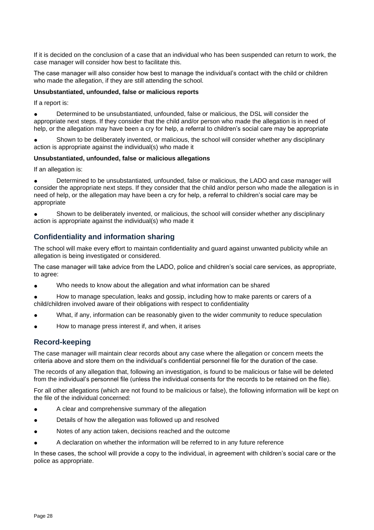If it is decided on the conclusion of a case that an individual who has been suspended can return to work, the case manager will consider how best to facilitate this.

The case manager will also consider how best to manage the individual's contact with the child or children who made the allegation, if they are still attending the school.

#### **Unsubstantiated, unfounded, false or malicious reports**

If a report is:

Determined to be unsubstantiated, unfounded, false or malicious, the DSL will consider the appropriate next steps. If they consider that the child and/or person who made the allegation is in need of help, or the allegation may have been a cry for help, a referral to children's social care may be appropriate

Shown to be deliberately invented, or malicious, the school will consider whether any disciplinary action is appropriate against the individual(s) who made it

#### **Unsubstantiated, unfounded, false or malicious allegations**

If an allegation is:

Determined to be unsubstantiated, unfounded, false or malicious, the LADO and case manager will consider the appropriate next steps. If they consider that the child and/or person who made the allegation is in need of help, or the allegation may have been a cry for help, a referral to children's social care may be appropriate

Shown to be deliberately invented, or malicious, the school will consider whether any disciplinary action is appropriate against the individual(s) who made it

# **Confidentiality and information sharing**

The school will make every effort to maintain confidentiality and guard against unwanted publicity while an allegation is being investigated or considered.

The case manager will take advice from the LADO, police and children's social care services, as appropriate, to agree:

Who needs to know about the allegation and what information can be shared

How to manage speculation, leaks and gossip, including how to make parents or carers of a child/children involved aware of their obligations with respect to confidentiality

- What, if any, information can be reasonably given to the wider community to reduce speculation
- How to manage press interest if, and when, it arises

# **Record-keeping**

The case manager will maintain clear records about any case where the allegation or concern meets the criteria above and store them on the individual's confidential personnel file for the duration of the case.

The records of any allegation that, following an investigation, is found to be malicious or false will be deleted from the individual's personnel file (unless the individual consents for the records to be retained on the file).

For all other allegations (which are not found to be malicious or false), the following information will be kept on the file of the individual concerned:

- A clear and comprehensive summary of the allegation
- Details of how the allegation was followed up and resolved
- Notes of any action taken, decisions reached and the outcome
- A declaration on whether the information will be referred to in any future reference

In these cases, the school will provide a copy to the individual, in agreement with children's social care or the police as appropriate.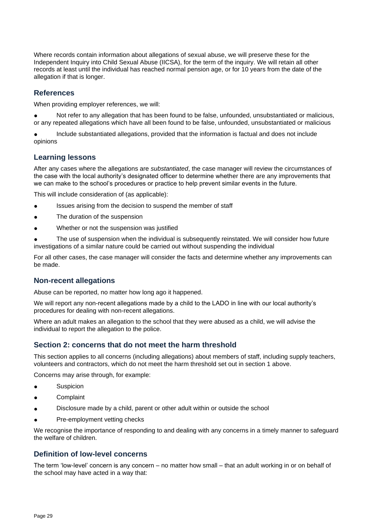Where records contain information about allegations of sexual abuse, we will preserve these for the Independent Inquiry into Child Sexual Abuse (IICSA), for the term of the inquiry. We will retain all other records at least until the individual has reached normal pension age, or for 10 years from the date of the allegation if that is longer.

# **References**

When providing employer references, we will:

Not refer to any allegation that has been found to be false, unfounded, unsubstantiated or malicious, or any repeated allegations which have all been found to be false, unfounded, unsubstantiated or malicious

Include substantiated allegations, provided that the information is factual and does not include opinions

# **Learning lessons**

After any cases where the allegations are *substantiated*, the case manager will review the circumstances of the case with the local authority's designated officer to determine whether there are any improvements that we can make to the school's procedures or practice to help prevent similar events in the future.

This will include consideration of (as applicable):

- Issues arising from the decision to suspend the member of staff
- The duration of the suspension
- Whether or not the suspension was justified

The use of suspension when the individual is subsequently reinstated. We will consider how future investigations of a similar nature could be carried out without suspending the individual

For all other cases, the case manager will consider the facts and determine whether any improvements can be made.

# **Non-recent allegations**

Abuse can be reported, no matter how long ago it happened.

We will report any non-recent allegations made by a child to the LADO in line with our local authority's procedures for dealing with non-recent allegations.

Where an adult makes an allegation to the school that they were abused as a child, we will advise the individual to report the allegation to the police.

# **Section 2: concerns that do not meet the harm threshold**

This section applies to all concerns (including allegations) about members of staff, including supply teachers, volunteers and contractors, which do not meet the harm threshold set out in section 1 above.

Concerns may arise through, for example:

- Suspicion
- **Complaint**
- Disclosure made by a child, parent or other adult within or outside the school
- Pre-employment vetting checks

We recognise the importance of responding to and dealing with any concerns in a timely manner to safeguard the welfare of children.

# **Definition of low-level concerns**

The term 'low-level' concern is any concern – no matter how small – that an adult working in or on behalf of the school may have acted in a way that: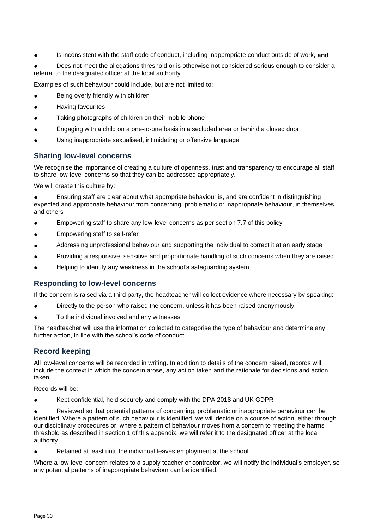Is inconsistent with the staff code of conduct, including inappropriate conduct outside of work, **and** 

Does not meet the allegations threshold or is otherwise not considered serious enough to consider a referral to the designated officer at the local authority

Examples of such behaviour could include, but are not limited to:

- Being overly friendly with children
- **Having favourites**
- Taking photographs of children on their mobile phone
- Engaging with a child on a one-to-one basis in a secluded area or behind a closed door
- Using inappropriate sexualised, intimidating or offensive language

# **Sharing low-level concerns**

We recognise the importance of creating a culture of openness, trust and transparency to encourage all staff to share low-level concerns so that they can be addressed appropriately.

We will create this culture by:

Ensuring staff are clear about what appropriate behaviour is, and are confident in distinguishing expected and appropriate behaviour from concerning, problematic or inappropriate behaviour, in themselves and others

- Empowering staff to share any low-level concerns as per section 7.7 of this policy
- Empowering staff to self-refer
- Addressing unprofessional behaviour and supporting the individual to correct it at an early stage
- Providing a responsive, sensitive and proportionate handling of such concerns when they are raised
- Helping to identify any weakness in the school's safeguarding system

# **Responding to low-level concerns**

If the concern is raised via a third party, the headteacher will collect evidence where necessary by speaking:

- Directly to the person who raised the concern, unless it has been raised anonymously
- To the individual involved and any witnesses

The headteacher will use the information collected to categorise the type of behaviour and determine any further action, in line with the school's code of conduct.

# **Record keeping**

All low-level concerns will be recorded in writing. In addition to details of the concern raised, records will include the context in which the concern arose, any action taken and the rationale for decisions and action taken.

Records will be:

Kept confidential, held securely and comply with the DPA 2018 and UK GDPR

Reviewed so that potential patterns of concerning, problematic or inappropriate behaviour can be identified. Where a pattern of such behaviour is identified, we will decide on a course of action, either through our disciplinary procedures or, where a pattern of behaviour moves from a concern to meeting the harms threshold as described in section 1 of this appendix, we will refer it to the designated officer at the local authority

Retained at least until the individual leaves employment at the school

Where a low-level concern relates to a supply teacher or contractor, we will notify the individual's employer, so any potential patterns of inappropriate behaviour can be identified.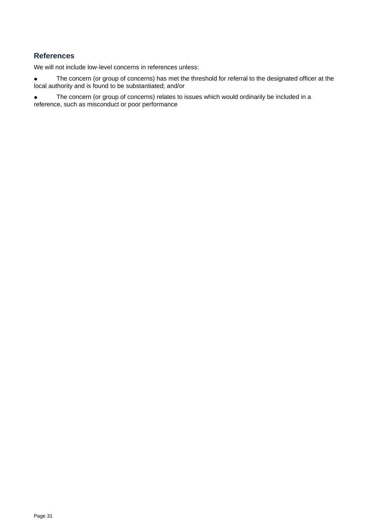# **References**

We will not include low-level concerns in references unless:

● The concern (or group of concerns) has met the threshold for referral to the designated officer at the local authority and is found to be substantiated; and/or

● The concern (or group of concerns) relates to issues which would ordinarily be included in a reference, such as misconduct or poor performance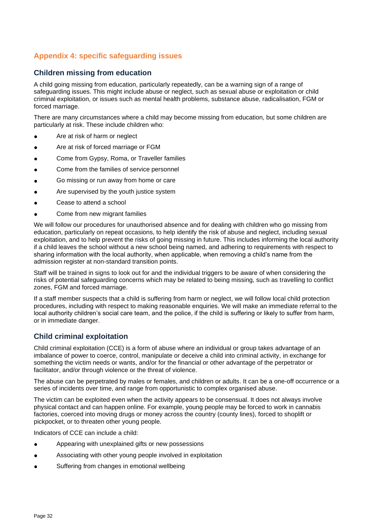# **Appendix 4: specific safeguarding issues**

# **Children missing from education**

A child going missing from education, particularly repeatedly, can be a warning sign of a range of safeguarding issues. This might include abuse or neglect, such as sexual abuse or exploitation or child criminal exploitation, or issues such as mental health problems, substance abuse, radicalisation, FGM or forced marriage.

There are many circumstances where a child may become missing from education, but some children are particularly at risk. These include children who:

- Are at risk of harm or neglect
- Are at risk of forced marriage or FGM
- Come from Gypsy, Roma, or Traveller families
- Come from the families of service personnel
- Go missing or run away from home or care
- Are supervised by the youth justice system
- Cease to attend a school
- Come from new migrant families

We will follow our procedures for unauthorised absence and for dealing with children who go missing from education, particularly on repeat occasions, to help identify the risk of abuse and neglect, including sexual exploitation, and to help prevent the risks of going missing in future. This includes informing the local authority if a child leaves the school without a new school being named, and adhering to requirements with respect to sharing information with the local authority, when applicable, when removing a child's name from the admission register at non-standard transition points.

Staff will be trained in signs to look out for and the individual triggers to be aware of when considering the risks of potential safeguarding concerns which may be related to being missing, such as travelling to conflict zones, FGM and forced marriage.

If a staff member suspects that a child is suffering from harm or neglect, we will follow local child protection procedures, including with respect to making reasonable enquiries. We will make an immediate referral to the local authority children's social care team, and the police, if the child is suffering or likely to suffer from harm, or in immediate danger.

# **Child criminal exploitation**

Child criminal exploitation (CCE) is a form of abuse where an individual or group takes advantage of an imbalance of power to coerce, control, manipulate or deceive a child into criminal activity, in exchange for something the victim needs or wants, and/or for the financial or other advantage of the perpetrator or facilitator, and/or through violence or the threat of violence.

The abuse can be perpetrated by males or females, and children or adults. It can be a one-off occurrence or a series of incidents over time, and range from opportunistic to complex organised abuse.

The victim can be exploited even when the activity appears to be consensual. It does not always involve physical contact and can happen online. For example, young people may be forced to work in cannabis factories, coerced into moving drugs or money across the country (county lines), forced to shoplift or pickpocket, or to threaten other young people.

Indicators of CCE can include a child:

- Appearing with unexplained gifts or new possessions
- Associating with other young people involved in exploitation
- Suffering from changes in emotional wellbeing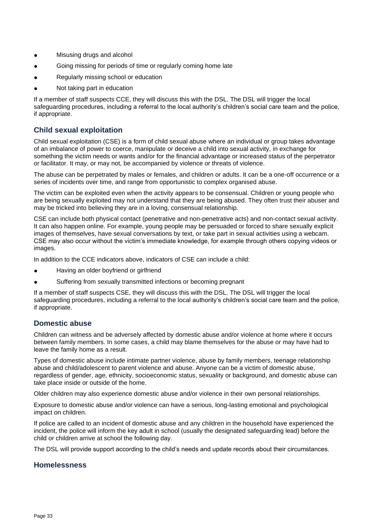- Misusing drugs and alcohol
- Going missing for periods of time or regularly coming home late
- Regularly missing school or education
- Not taking part in education

If a member of staff suspects CCE, they will discuss this with the DSL. The DSL will trigger the local safeguarding procedures, including a referral to the local authority's children's social care team and the police, if appropriate.

# **Child sexual exploitation**

Child sexual exploitation (CSE) is a form of child sexual abuse where an individual or group takes advantage of an imbalance of power to coerce, manipulate or deceive a child into sexual activity, in exchange for something the victim needs or wants and/or for the financial advantage or increased status of the perpetrator or facilitator. It may, or may not, be accompanied by violence or threats of violence.

The abuse can be perpetrated by males or females, and children or adults. It can be a one-off occurrence or a series of incidents over time, and range from opportunistic to complex organised abuse.

The victim can be exploited even when the activity appears to be consensual. Children or young people who are being sexually exploited may not understand that they are being abused. They often trust their abuser and may be tricked into believing they are in a loving, consensual relationship.

CSE can include both physical contact (penetrative and non-penetrative acts) and non-contact sexual activity. It can also happen online. For example, young people may be persuaded or forced to share sexually explicit images of themselves, have sexual conversations by text, or take part in sexual activities using a webcam. CSE may also occur without the victim's immediate knowledge, for example through others copying videos or images.

In addition to the CCE indicators above, indicators of CSE can include a child:

- Having an older boyfriend or girlfriend
- Suffering from sexually transmitted infections or becoming pregnant

If a member of staff suspects CSE, they will discuss this with the DSL. The DSL will trigger the local safeguarding procedures, including a referral to the local authority's children's social care team and the police, if appropriate.

# **Domestic abuse**

Children can witness and be adversely affected by domestic abuse and/or violence at home where it occurs between family members. In some cases, a child may blame themselves for the abuse or may have had to leave the family home as a result.

Types of domestic abuse include intimate partner violence, abuse by family members, teenage relationship abuse and child/adolescent to parent violence and abuse. Anyone can be a victim of domestic abuse, regardless of gender, age, ethnicity, socioeconomic status, sexuality or background, and domestic abuse can take place inside or outside of the home.

Older children may also experience domestic abuse and/or violence in their own personal relationships.

Exposure to domestic abuse and/or violence can have a serious, long-lasting emotional and psychological impact on children.

If police are called to an incident of domestic abuse and any children in the household have experienced the incident, the police will inform the key adult in school (usually the designated safeguarding lead) before the child or children arrive at school the following day.

The DSL will provide support according to the child's needs and update records about their circumstances.

# **Homelessness**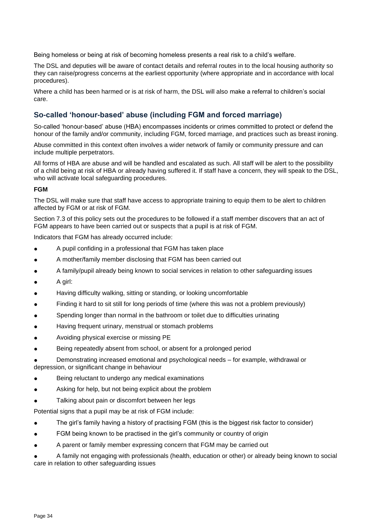Being homeless or being at risk of becoming homeless presents a real risk to a child's welfare.

The DSL and deputies will be aware of contact details and referral routes in to the local housing authority so they can raise/progress concerns at the earliest opportunity (where appropriate and in accordance with local procedures).

Where a child has been harmed or is at risk of harm, the DSL will also make a referral to children's social care.

# **So-called 'honour-based' abuse (including FGM and forced marriage)**

So-called 'honour-based' abuse (HBA) encompasses incidents or crimes committed to protect or defend the honour of the family and/or community, including FGM, forced marriage, and practices such as breast ironing.

Abuse committed in this context often involves a wider network of family or community pressure and can include multiple perpetrators.

All forms of HBA are abuse and will be handled and escalated as such. All staff will be alert to the possibility of a child being at risk of HBA or already having suffered it. If staff have a concern, they will speak to the DSL, who will activate local safeguarding procedures.

#### **FGM**

The DSL will make sure that staff have access to appropriate training to equip them to be alert to children affected by FGM or at risk of FGM.

Section 7.3 of this policy sets out the procedures to be followed if a staff member discovers that an act of FGM appears to have been carried out or suspects that a pupil is at risk of FGM.

Indicators that FGM has already occurred include:

- A pupil confiding in a professional that FGM has taken place
- A mother/family member disclosing that FGM has been carried out
- A family/pupil already being known to social services in relation to other safeguarding issues
- A girl:
- Having difficulty walking, sitting or standing, or looking uncomfortable
- Finding it hard to sit still for long periods of time (where this was not a problem previously)
- Spending longer than normal in the bathroom or toilet due to difficulties urinating
- Having frequent urinary, menstrual or stomach problems
- Avoiding physical exercise or missing PE
- Being repeatedly absent from school, or absent for a prolonged period
- Demonstrating increased emotional and psychological needs for example, withdrawal or depression, or significant change in behaviour
- Being reluctant to undergo any medical examinations
- Asking for help, but not being explicit about the problem
- Talking about pain or discomfort between her legs

Potential signs that a pupil may be at risk of FGM include:

- The girl's family having a history of practising FGM (this is the biggest risk factor to consider)
- FGM being known to be practised in the girl's community or country of origin
- A parent or family member expressing concern that FGM may be carried out

A family not engaging with professionals (health, education or other) or already being known to social care in relation to other safeguarding issues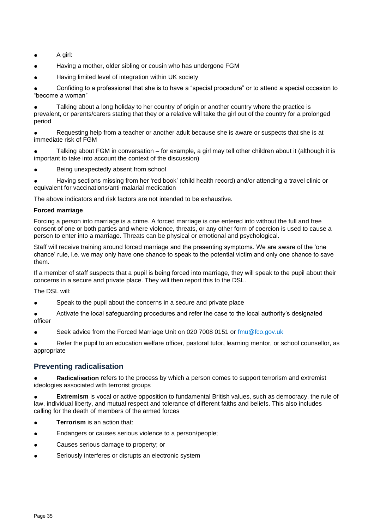- A girl:
- Having a mother, older sibling or cousin who has undergone FGM
- Having limited level of integration within UK society

Confiding to a professional that she is to have a "special procedure" or to attend a special occasion to "become a woman"

Talking about a long holiday to her country of origin or another country where the practice is prevalent, or parents/carers stating that they or a relative will take the girl out of the country for a prolonged period

Requesting help from a teacher or another adult because she is aware or suspects that she is at immediate risk of FGM

Talking about FGM in conversation – for example, a girl may tell other children about it (although it is important to take into account the context of the discussion)

Being unexpectedly absent from school

Having sections missing from her 'red book' (child health record) and/or attending a travel clinic or equivalent for vaccinations/anti-malarial medication

The above indicators and risk factors are not intended to be exhaustive.

#### **Forced marriage**

Forcing a person into marriage is a crime. A forced marriage is one entered into without the full and free consent of one or both parties and where violence, threats, or any other form of coercion is used to cause a person to enter into a marriage. Threats can be physical or emotional and psychological.

Staff will receive training around forced marriage and the presenting symptoms. We are aware of the 'one chance' rule, i.e. we may only have one chance to speak to the potential victim and only one chance to save them.

If a member of staff suspects that a pupil is being forced into marriage, they will speak to the pupil about their concerns in a secure and private place. They will then report this to the DSL.

The DSL will:

- Speak to the pupil about the concerns in a secure and private place
- Activate the local safeguarding procedures and refer the case to the local authority's designated officer
- Seek advice from the Forced Marriage Unit on 020 7008 0151 or [fmu@fco.gov.uk](mailto:fmu@fco.gov.uk)

Refer the pupil to an education welfare officer, pastoral tutor, learning mentor, or school counsellor, as appropriate

# **Preventing radicalisation**

**Radicalisation** refers to the process by which a person comes to support terrorism and extremist ideologies associated with terrorist groups

**Extremism** is vocal or active opposition to fundamental British values, such as democracy, the rule of law, individual liberty, and mutual respect and tolerance of different faiths and beliefs. This also includes calling for the death of members of the armed forces

- **Terrorism** is an action that:
- Endangers or causes serious violence to a person/people;
- Causes serious damage to property; or
- Seriously interferes or disrupts an electronic system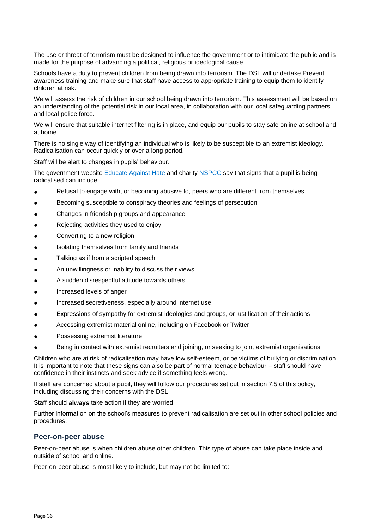The use or threat of terrorism must be designed to influence the government or to intimidate the public and is made for the purpose of advancing a political, religious or ideological cause.

Schools have a duty to prevent children from being drawn into terrorism. The DSL will undertake Prevent awareness training and make sure that staff have access to appropriate training to equip them to identify children at risk.

We will assess the risk of children in our school being drawn into terrorism. This assessment will be based on an understanding of the potential risk in our local area, in collaboration with our local safeguarding partners and local police force.

We will ensure that suitable internet filtering is in place, and equip our pupils to stay safe online at school and at home.

There is no single way of identifying an individual who is likely to be susceptible to an extremist ideology. Radicalisation can occur quickly or over a long period.

Staff will be alert to changes in pupils' behaviour.

The government website [Educate Against Hate](http://educateagainsthate.com/parents/what-are-the-warning-signs/) and charity [NSPCC](https://www.nspcc.org.uk/what-you-can-do/report-abuse/dedicated-helplines/protecting-children-from-radicalisation/) say that signs that a pupil is being radicalised can include:

- Refusal to engage with, or becoming abusive to, peers who are different from themselves
- Becoming susceptible to conspiracy theories and feelings of persecution
- Changes in friendship groups and appearance
- Rejecting activities they used to enjoy
- Converting to a new religion
- Isolating themselves from family and friends
- Talking as if from a scripted speech
- An unwillingness or inability to discuss their views
- A sudden disrespectful attitude towards others
- Increased levels of anger
- Increased secretiveness, especially around internet use
- Expressions of sympathy for extremist ideologies and groups, or justification of their actions
- Accessing extremist material online, including on Facebook or Twitter
- Possessing extremist literature
- Being in contact with extremist recruiters and joining, or seeking to join, extremist organisations

Children who are at risk of radicalisation may have low self-esteem, or be victims of bullying or discrimination. It is important to note that these signs can also be part of normal teenage behaviour – staff should have confidence in their instincts and seek advice if something feels wrong.

If staff are concerned about a pupil, they will follow our procedures set out in section 7.5 of this policy, including discussing their concerns with the DSL.

Staff should **always** take action if they are worried.

Further information on the school's measures to prevent radicalisation are set out in other school policies and procedures.

# **Peer-on-peer abuse**

Peer-on-peer abuse is when children abuse other children. This type of abuse can take place inside and outside of school and online.

Peer-on-peer abuse is most likely to include, but may not be limited to: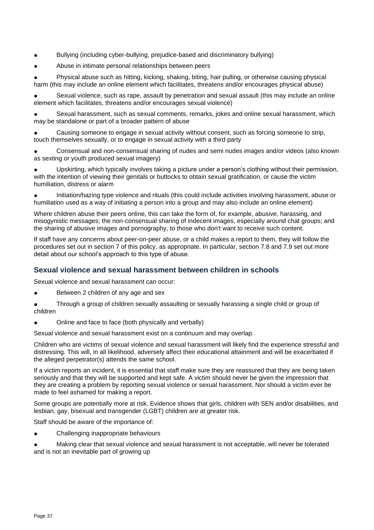- Bullying (including cyber-bullying, prejudice-based and discriminatory bullying)
- Abuse in intimate personal relationships between peers

Physical abuse such as hitting, kicking, shaking, biting, hair pulling, or otherwise causing physical harm (this may include an online element which facilitates, threatens and/or encourages physical abuse)

Sexual violence, such as rape, assault by penetration and sexual assault (this may include an online element which facilitates, threatens and/or encourages sexual violence)

Sexual harassment, such as sexual comments, remarks, jokes and online sexual harassment, which may be standalone or part of a broader pattern of abuse

Causing someone to engage in sexual activity without consent, such as forcing someone to strip, touch themselves sexually, or to engage in sexual activity with a third party

Consensual and non-consensual sharing of nudes and semi nudes images and/or videos (also known as sexting or youth produced sexual imagery)

Upskirting, which typically involves taking a picture under a person's clothing without their permission, with the intention of viewing their genitals or buttocks to obtain sexual gratification, or cause the victim humiliation, distress or alarm

● Initiation/hazing type violence and rituals (this could include activities involving harassment, abuse or humiliation used as a way of initiating a person into a group and may also include an online element)

Where children abuse their peers online, this can take the form of, for example, abusive, harassing, and misogynistic messages; the non-consensual sharing of indecent images, especially around chat groups; and the sharing of abusive images and pornography, to those who don't want to receive such content.

If staff have any concerns about peer-on-peer abuse, or a child makes a report to them, they will follow the procedures set out in section 7 of this policy, as appropriate. In particular, section 7.8 and 7.9 set out more detail about our school's approach to this type of abuse.

# **Sexual violence and sexual harassment between children in schools**

Sexual violence and sexual harassment can occur:

Between 2 children of any age and sex

Through a group of children sexually assaulting or sexually harassing a single child or group of children

Online and face to face (both physically and verbally)

Sexual violence and sexual harassment exist on a continuum and may overlap.

Children who are victims of sexual violence and sexual harassment will likely find the experience stressful and distressing. This will, in all likelihood, adversely affect their educational attainment and will be exacerbated if the alleged perpetrator(s) attends the same school.

If a victim reports an incident, it is essential that staff make sure they are reassured that they are being taken seriously and that they will be supported and kept safe. A victim should never be given the impression that they are creating a problem by reporting sexual violence or sexual harassment. Nor should a victim ever be made to feel ashamed for making a report.

Some groups are potentially more at risk. Evidence shows that girls, children with SEN and/or disabilities, and lesbian, gay, bisexual and transgender (LGBT) children are at greater risk.

Staff should be aware of the importance of:

Challenging inappropriate behaviours

Making clear that sexual violence and sexual harassment is not acceptable, will never be tolerated and is not an inevitable part of growing up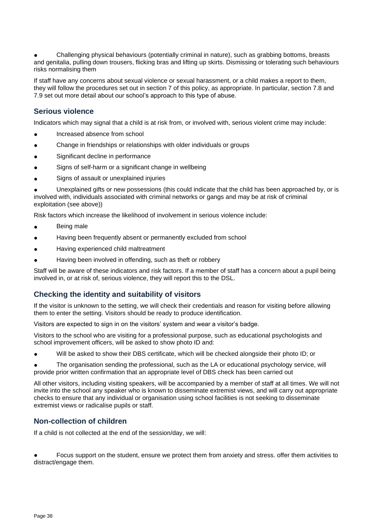Challenging physical behaviours (potentially criminal in nature), such as grabbing bottoms, breasts and genitalia, pulling down trousers, flicking bras and lifting up skirts. Dismissing or tolerating such behaviours risks normalising them

If staff have any concerns about sexual violence or sexual harassment, or a child makes a report to them, they will follow the procedures set out in section 7 of this policy, as appropriate. In particular, section 7.8 and 7.9 set out more detail about our school's approach to this type of abuse.

# **Serious violence**

Indicators which may signal that a child is at risk from, or involved with, serious violent crime may include:

- Increased absence from school
- Change in friendships or relationships with older individuals or groups
- Significant decline in performance
- Signs of self-harm or a significant change in wellbeing
- Signs of assault or unexplained injuries

Unexplained gifts or new possessions (this could indicate that the child has been approached by, or is involved with, individuals associated with criminal networks or gangs and may be at risk of criminal exploitation (see above))

Risk factors which increase the likelihood of involvement in serious violence include:

- **Being male**
- Having been frequently absent or permanently excluded from school
- Having experienced child maltreatment
- Having been involved in offending, such as theft or robbery

Staff will be aware of these indicators and risk factors. If a member of staff has a concern about a pupil being involved in, or at risk of, serious violence, they will report this to the DSL.

# **Checking the identity and suitability of visitors**

If the visitor is unknown to the setting, we will check their credentials and reason for visiting before allowing them to enter the setting. Visitors should be ready to produce identification.

Visitors are expected to sign in on the visitors' system and wear a visitor's badge.

Visitors to the school who are visiting for a professional purpose, such as educational psychologists and school improvement officers, will be asked to show photo ID and:

Will be asked to show their DBS certificate, which will be checked alongside their photo ID; or

The organisation sending the professional, such as the LA or educational psychology service, will provide prior written confirmation that an appropriate level of DBS check has been carried out

All other visitors, including visiting speakers, will be accompanied by a member of staff at all times. We will not invite into the school any speaker who is known to disseminate extremist views, and will carry out appropriate checks to ensure that any individual or organisation using school facilities is not seeking to disseminate extremist views or radicalise pupils or staff.

# **Non-collection of children**

If a child is not collected at the end of the session/day, we will:

Focus support on the student, ensure we protect them from anxiety and stress. offer them activities to distract/engage them.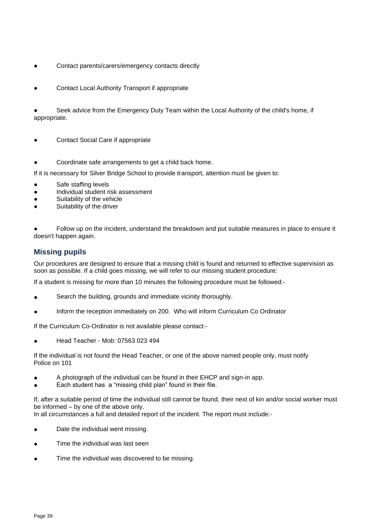- Contact parents/carers/emergency contacts directly
- Contact Local Authority Transport if appropriate

Seek advice from the Emergency Duty Team within the Local Authority of the child's home, if appropriate.

- Contact Social Care if appropriate
- Coordinate safe arrangements to get a child back home.

If it is necessary for Silver Bridge School to provide transport, attention must be given to:

- Safe staffing levels
- Individual student risk assessment
- Suitability of the vehicle
- Suitability of the driver

Follow up on the incident, understand the breakdown and put suitable measures in place to ensure it doesn't happen again.

# **Missing pupils**

Our procedures are designed to ensure that a missing child is found and returned to effective supervision as soon as possible. If a child goes missing, we will refer to our missing student procedure:

If a student is missing for more than 10 minutes the following procedure must be followed:-

- Search the building, grounds and immediate vicinity thoroughly.
- Inform the reception immediately on 200. Who will inform Curriculum Co Ordinator

If the Curriculum Co-Ordinator is not available please contact:-

● Head Teacher - Mob: 07563 023 494

If the individual is not found the Head Teacher, or one of the above named people only, must notify Police on 101

- A photograph of the individual can be found in their EHCP and sign-in app.
- Each student has a "missing child plan" found in their file.

If, after a suitable period of time the individual still cannot be found, their next of kin and/or social worker must be informed – by one of the above only.

- In all circumstances a full and detailed report of the incident. The report must include:-
- Date the individual went missing.
- Time the individual was last seen
- Time the individual was discovered to be missing.